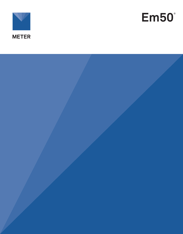



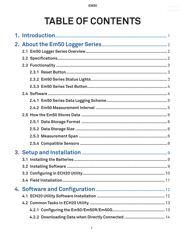# **TABLE OF CONTENTS**

| 4.2.2 Downloading Data when Directly Connected  14 |
|----------------------------------------------------|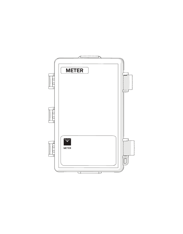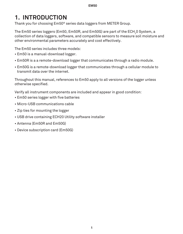## <span id="page-6-0"></span>**1. INTRODUCTION**

Thank you for choosing Em50® series data loggers from METER Group.

The Em50 series loggers (Em50, Em50R, and Em50G) are part of the ECH $_{\tiny 2}$ 0 System, a collection of data loggers, software, and compatible sensors to measure soil moisture and other environmental parameters accurately and cost effectively.

The Em50 series includes three models:

- Em50 is a manual-download logger.
- Em50R is a a remote-download logger that communicates through a radio module.
- Em50G is a remote-download logger that communicates through a cellular module to transmit data over the internet.

Throughout this manual, references to Em50 apply to all versions of the logger unless otherwise specified.

Verify all instrument components are included and appear in good condition:

- Em50 series logger with five batteries
- Micro-USB communications cable
- Zip ties for mounting the logger
- USB drive containing ECH20 Utility software installer
- Antenna (Em50R and Em50G)
- Device subscription card (Em50G)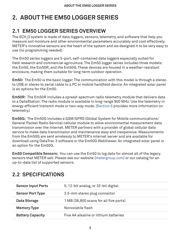## <span id="page-7-0"></span>**2. ABOUT THE EM50 LOGGER SERIES**

## **2.1 EM50 LOGGER SERIES OVERVIEW**

The ECH $_{\rm 2}$ O system is made of data loggers, sensors, telemetry, and software that help you measure soil moisture and other environmental parameters accurately and cost effectively. METER's innovative sensors are the heart of the system and we designed it to be very easy to use (no programming needed).

The Em50 series loggers are 5-port, self-contained data loggers especially suited for field research and commercial agriculture. The Em50 logger series includes three models: the Em50, the Em50R, and the Em50G. These devices are housed in a weather-resistant enclosure, making them suitable for long-term outdoor operation.

**Em50:** The Em50 is the basic logger. The communication with this model is through a stereo to USB or stereo to serial cable to a PC or mobile handheld device. An integrated solar panel is an options for the Em50.

**Em50R:** The Em50R includes a spread-spectrum radio telemetry module that delivers data to a DataStation. The radio module is available in long-range 900 MHz. Use the telemetry in energy efficient transmit mode or two-way mode. ([Section 6](#page-37-1) provides more information on telemetry.)

**Em50G:** The Em50G includes a GSM/GPRS (Global System for Mobile communications/ General Packet Radio Service) cellular module to allow environmental measurement data transmission over the Internet. METER partners with a provider of global cellular data service to make data transmission and maintenance easy and inexpensive. Measurements from the Em50G are sent wirelessly to METER's internet server and are available for download using DataTrac 3 software or the Em50G WebViewer. An integrated solar panel is an option for the Em50G.

**Em50 Compatible Sensors:** You can use the Em50 to log data for almost all of the legacy sensors that METER sell. Please see our website [\(metergroup.com\)](http://www.metergroup.com) or our catalog for an up-to-date list of supported sensors.

| <b>Sensor Input Ports</b> | 5, 12-bit analog, or 32-bit digital    |
|---------------------------|----------------------------------------|
| <b>Sensor Port Type</b>   | 3.5-mm stereo plug connector           |
| Data Storage              | 1 MB (36,800 scans for all five ports) |
| <b>Memory Type</b>        | Nonvolatile flash                      |
| <b>Battery Capacity</b>   | Five AA alkaline or lithium batteries  |

## **2.2 SPECIFICATIONS**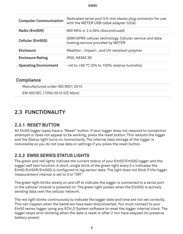<span id="page-8-0"></span>

| <b>Computer Communication</b> | Dedicated serial port 3.5-mm stereo plug connector for use<br>with the METER USB cable adapter (UCA) |
|-------------------------------|------------------------------------------------------------------------------------------------------|
| Radio (Em50R)                 | 900 MHz or 2.4 GHz (discontinued)                                                                    |
| Cellular (Em50G)              | GSM/GPRS cellular technology. Cellular service and data<br>hosting service provided by METER         |
| Enclosure                     | Weather-, impact-, and UV-resistant polymer                                                          |
| <b>Enclosure Rating</b>       | IP55, NEMA 3R                                                                                        |
| <b>Operating Environment</b>  | $-40$ to $+60$ °C (0% to 100% relative humidity)                                                     |

#### **Compliance**

Manufactured under ISO 9001:2015 EM ISO/IEC 17050:2010 (CE Mark)

### **2.3 FUNCTIONALITY**

### **2.3.1 RESET BUTTON**

All Em50 logger types have a "Reset" button. If your logger does not respond to connection attempts or does not appear to be working, press the reset button. This reboots the logger and the Status light turns on momentarily. The internal data storage of the logger is nonvolatile so you do not lose data or settings if you press the reset button.

#### **2.3.2 EM50 SERIES STATUS LIGHTS**

The green and red lights indicate the current status of your Em50/Em50G logger and the logger self test function. A short, single blink of the green light every 5 s indicates the Em50/Em50R/Em50G is configured to log sensor data. The light does not blink if the logger measurement interval is set to 0 or "Off."

The green light blinks slowly on and off to indicate the logger is connected to a serial port or the cellular module is powered on. The green light pulses when the Em50G is actively sending data over the cellular network.

The red light blinks continuously to indicate the logger date and time are not set correctly. This can happen when the batteries have been disconnected. You must connect to your Em50 series logger using any ECH $_{\rm 2}$ O System software to reset the logger internal clock. The logger stops error blinking when the date is reset or after 2 min have elapsed (to preserve battery power).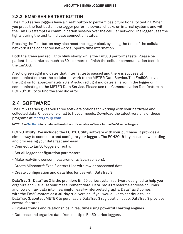### <span id="page-9-0"></span>**2.3.3 EM50 SERIES TEST BUTTON**

The Em50 series loggers have a "Test" button to perform basic functionality testing. When you press the Test button, the logger performs several checks on internal systems and with the Em50G attempts a communication session over the cellular network. The logger uses the lights during the test to indicate connection status.

Pressing the Test button may also reset the logger clock by using the time of the cellular network if the connected network supports time information.

Both the green and red lights blink slowly while the Em50G performs tests. Please be patient. It can take as much as 60 s or more to finish the cellular communication tests in the Em50G.

A solid green light indicates that internal tests passed and there is successful communication over the cellular network to the METER Data Service. The Em50G leaves the light on for approximately 20 s. A solid red light indicates an error in the logger or in communicating to the METER Data Service. Please use the Communication Test feature in ECH2O® Utility to find the specific error.

### **2.4 SOFTWARE**

The Em50 series gives you three software options for working with your hardware and collected data. Choose one or all to fit your needs. Download the latest versions of these programs at [metergroup.com](http://www.metergroup.com).

**NOTE: See [Section 4](#page-17-1) for a detailed breakdown of available software for the Em50 series loggers.**

**ECH2O Utility:** We included the ECH20 Utility software with your purchase. It provides a simple way to connect to and configure your loggers. The ECH2O Utility makes downloading and processing your data fast and easy.

- Connect to Em50 loggers directly.
- Set all logger configuration parameters.
- Make real-time sensor measurements (scan sensors).
- Create Microsoft® Excel® or text files with raw or processed data.
- Create configuration and data files for use with DataTrac 3.

**DataTrac 3:**  DataTrac 3 is the premiere Em50 series system software designed to help you organize and visualize your measurement data. DataTrac 3 transforms endless columns and rows of raw data into meaningful, easily-interpreted graphs. DataTrac 3 comes with the Em50 system as a 30-day trial version. If you would like to continue to use DataTrac 3, contact METER to purchase a DataTrac 3 registration code. DataTrac 3 provides several features.

- Explore trends and relationships in real time using powerful charting engines.
- Database and organize data from multiple Em50 series loggers.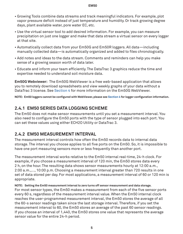- <span id="page-10-0"></span>• Growing Tools combine data streams and track meaningful indicators. For example, plot vapor pressure deficit instead of just temperature and humidity. Or track growing degree days, plant available water, pore water EC, etc.
- Use the virtual sensor tool to add desired information. For example, you can measure precipitation on just one logger and make that data stream a virtual sensor on every logger at that site.
- Automatically collect data from your Em50G and Em50R loggers. All data—including manually collected data—is automatically organized and added to files chronologically.
- Add notes and ideas to the data stream. Comments and reminders can help you make sense of a growing season worth of data later.
- Educate and inform your team efficiently. The DataTrac 3 graphics reduce the time and expertise needed to understand soil moisture data.

**Em50G Webviewer:** The Em50G WebViewer is a free web-based application that allows you to remotely download spreadsheets and view weekly graphs of your data without a DataTrac 3 license. See [Section 4](#page-17-1) for more information on the Em50G WebViewer.

**NOTE: Em50 loggers cannot be configured with WebViewer, please see [Section 4](#page-17-1) for logger configuration information.**

### **2.4.1 EM50 SERIES DATA LOGGING SCHEME**

The Em50 does not make sensor measurements until you set a measurement interval. You also need to configure the Em50 ports with the type of sensor plugged into each port. You can set these values using either ECH2O Utility or DataTrac 3.

### **2.4.2 EM50 MEASUREMENT INTERVAL**

The measurement interval controls how often the Em50 records data to internal data storage. The interval you choose applies to all five ports on the Em50. So, it is impossible to have one port measuring sensors more or less frequently than another port.

The measurement interval works relative to the Em50 internal real-time, 24-h clock. For example, if you choose a measurement interval of 120 min, the Em50 stores data every 2 h, on the hour. The resulting data shows sensor measurements hourly at 12:00 a.m., 2:00 a.m.,..., 10:00 p.m. Choosing a measurement interval greater than 720 results in one set of data stored per day. For most applications, a measurement interval of 60 or 120 min is appropriate.

**NOTE: Setting the Em50 measurement interval to zero turns off sensor measurement and data storage.** For most sensor types, the Em50 makes a measurement from each of the five sensor ports every 60 s, regardless of the measurement interval value. When the Em50 internal clock reaches the user-programmed measurement interval, the Em50 stores the average of all the 60-s sensor readings taken since the last storage interval. Therefore, if you set the measurement interval to 60, the Em50 stores an average of the past 60 sensor readings. If you choose an interval of 1,440, the Em50 stores one value that represents the average sensor value for the entire 24-h period.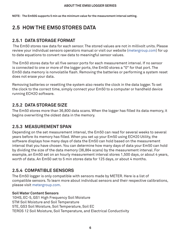#### **About the Em50 Logger Series**

<span id="page-11-0"></span>**NOTE: The Em50G supports 5 min as the minimum value for the measurement interval setting.**

## **2.5 HOW THE EM50 STORES DATA**

### **2.5.1 DATA STORAGE FORMAT**

 The Em50 stores raw data for each sensor. The stored values are not in millivolt units. Please review your individual sensors operators manual or visit our website [\(metergroup.com\)](http://www.metergroup.com) for up to date equations to convert raw data to meaningful sensor values.

The Em50 stores data for all five sensor ports for each measurement interval. If no sensor is connected to one or more of the logger ports, the Em50 stores a "0" for that port. The Em50 data memory is nonvolatile flash. Removing the batteries or performing a system reset does not erase your data.

Removing batteries or resetting the system also resets the clock in the data logger. To set the clock to the correct time, simply connect your Em50 to a computer or handheld device running ECH2O software.

### **2.5.2 DATA STORAGE SIZE**

The Em50 stores more than 36,800 data scans. When the logger has filled its data memory, it begins overwriting the oldest data in the memory.

### **2.5.3 MEASUREMENT SPAN**

Depending on the set measurement interval, the Em50 can read for several weeks to several years before its memory has filled. When you set up your Em50 using ECH20 Utility, the software displays how many days of data the Em50 can hold based on the measurement interval that you have chosen. You can determine how many days of data your Em50 can hold by dividing the size of the data memory (36,864 scans) by the measurement interval. For example, an Em50 set on an hourly measurement interval stores 1,500 days, or about 4 years, worth of data. An Em50 set to 5 min stores data for 125 days, or about 4 months.

### **2.5.4 COMPATIBLE SENSORS**

The Em50 logger is only compatible with sensors made by METER. Here is a list of compatible sensors. To learn more about individual sensors and their respective calibrations, please visit [metergroup.com](http://www.metergroup.com).

#### **Soil Water Content Sensors**

10HS, EC-5, GS1 High Frequency Soil Moisture 5TM Soil Moisture and Soil Temperature 5TE, GS3 Soil Moisture, Soil Temperature, Soil EC TEROS 12 Soil Moisture, Soil Temperature, and Electrical Conductivity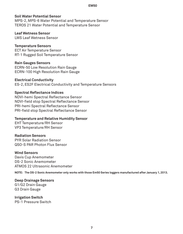#### **Soil Water Potential Sensor**

MPS-2, MPS-6 Water Potential and Temperature Sensor TEROS 21 Water Potential and Temperature Sensor

**Leaf Wetness Sensor** LWS Leaf Wetness Sensor

**Temperature Sensors**

ECT Air Temperature Sensor RT-1 Rugged Soil Temperature Sensor

**Rain Gauges Sensors**

ECRN-50 Low Resolution Rain Gauge ECRN-100 High Resolution Rain Gauge

**Electrical Conductivity**

ES-2, ES2F Electrical Conductivity and Temperature Sensors

#### **Spectral Reflectance Indices**

NDVI-hemi Spectral Reflectance Sensor NDVI-field stop Spectral Reflectance Sensor PRI-hemi Spectral Reflectance Sensor PRI-field stop Spectral Reflectance Sensor

#### **Temperature and Relative Humidity Sensor**

EHT Temperature/RH Sensor VP3 Temperature/RH Sensor

#### **Radiation Sensors**

PYR Solar Radiation Sensor QSO-S PAR Photon Flux Sensor

#### **Wind Sensors**

Davis Cup Anemometer DS-2 Sonic Anemometer ATMOS 22 Ultrasonic Anemometer

**NOTE: The DS-2 Sonic Anemometer only works with those Em50 Series loggers manufactured after January 1, 2013.**

**Deep Drainage Sensors** G1/G2 Drain Gauge G3 Drain Gauge

**Irrigation Switch** PS-1 Pressure Switch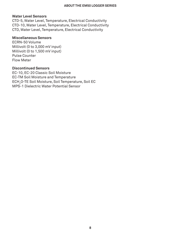#### **About the Em50 Logger Series**

#### <span id="page-13-0"></span>**Water Level Sensors**

CTD-5, Water Level, Temperature, Electrical Conductivity CTD-10, Water Level, Temperature, Electrical Conductivity CTD, Water Level, Temperature, Electrical Conductivity

#### **Miscellaneous Sensors**

ECRN-50 Volume Millivolt (0 to 3,000 mV input) Millivolt (0 to 1,500 mV input) Pulse Counter Flow Meter

#### **Discontinued Sensors**

EC-10, EC-20 Classic Soil Moisture EC-TM Soil Moisture and Temperature ECH<sub>2</sub>O-TE Soil Moisture, Soil Temperature, Soil EC MPS-1 Dielectric Water Potential Sensor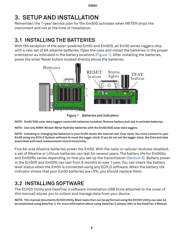## <span id="page-14-0"></span>**3. SETUP AND INSTALLATION**

Remember, the 1-year service plan for the Em50G activates when METER ships the instrument and not at the time of installation.

## **3.1 INSTALLING THE BATTERIES**

With the exception of the solar-powered Em50 and Em50G, all Em50 series loggers ship with a new set of AA alkaline batteries. Open the case and install the batteries in the proper orientation as indicated in the battery locations ([Figure 1](#page-14-1)). After installing the batteries, press the silver Reset button located directly above the batteries.



<span id="page-14-1"></span>**Figure 1 Batteries and indicators**

**NOTE: Em50/50G solar data loggers come with batteries installed. Remove battery pull-tab to activate batteries.**

**NOTE: Use only NiMH (Nickel-Metal Hydride) batteries with the Em50/50G solar data loggers.**

**NOTE: Installing or changing the batteries in your Em50 resets the internal real-time clock. You must connect to your**  Em50 using any ECH<sub>2</sub>O System software to reset the logger clock. If you do not set the logger clock, the time and date **associated with each measurement record incorrectly.**

Five AA-size Alkaline batteries power the Em50. With the radio or cellular modules disabled, a set of Alkaline or Lithium batteries can last for several years. The battery life for Em50Gs and Em50Rs varies depending on how you set up the transmission ([Section 6](#page-37-1)). Battery power in the Em50R and Em50G can last from 6 months to over 1 year. You can check the battery level status when the Em50 is connected using any ECH $_{\rm 2}$ O software. When the battery life indicator shows that your Em50 batteries are <5%, you should replace them.

## <span id="page-14-2"></span>**3.2 INSTALLING SOFTWARE**

The ECH20 Utility and DataTrac 3 software (installation USB Drive attached to the cover of this manual) allows you to collect and manage data from your device.

**NOTE: This manual documents ECH20 Utility. Most tasks that can be performed using the ECH20 Utility can also be accomplished using DataTrac 3. For more information about using DataTrac 3, please refer to the DataTrac 3 Manual.**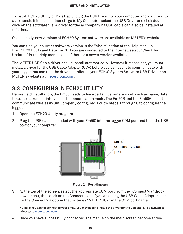<span id="page-15-0"></span>To install ECH20 Utility or DataTrac 3, plug the USB Drive into your computer and wait for it to autolaunch. If it does not launch, go to My Computer, select the USB Drive, and click double click on the software file. A driver for the accompanying USB cable can also be installed at this time.

Occasionally, new versions of ECH2O System software are available on METER's website.

You can find your current software version in the "About" option of the Help menu in the ECH20 Utility and DataTrac 3. If you are connected to the Internet, select "Check for Updates" in the Help menu to see if there is a newer version available.

The METER USB Cable driver should install automatically. However if it does not, you must install a driver for the USB Cable Adapter (UCA) before you can use it to communicate with your logger. You can find the driver installer on your ECH<sub>2</sub>O System Software USB Drive or on METER's website at [metergroup.com.](http://www.metergroup.com)

## **3.3 CONFIGURING IN ECH20 UTILITY**

Before field installation, the Em50 needs to have certain parameters set, such as name, date, time, measurement interval, and communication mode. The Em50R and the Em50G do not communicate wirelessly until properly configured. Follow steps 1 through 6 to configure the logger.

- 1. Open the ECH20 Utility program.
- 2. Plug the USB cable (included with your Em50) into the logger COM port and then the USB port of your computer.



**Figure 2 Port diagram**

3. At the top of the screen, select the appropriate COM port from the "Connect Via" dropdown menu, then click on the Connect icon. If you are using the USB Cable Adapter, look for the Connect Via option that includes "METER UCA" in the COM port name.

**NOTE: If you cannot connect to your Em50, you may need to install the driver for the USB cable. To download a driver go to [metergroup.com.](http://www.metergroup.com)**

4. Once you have successfully connected, the menus on the main screen become active.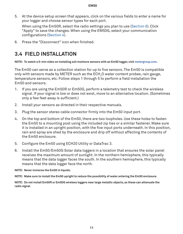<span id="page-16-0"></span>5. At the device setup screen that appears, click on the various fields to enter a name for your logger and choose sensor types for each port.

When using the Em50R, select the radio settings you plan to use ([Section 6](#page-37-1)). Click "Apply" to save the changes. When using the EM50G, select your communication configurations ([Section 4](#page-17-1)).

6. Press the "Disconnect" icon when finished.

## **3.4 FIELD INSTALLATION**

**NOTE: To watch a 5-min video on installing soil moisture sensors with an Em50 logger, visit [metergroup.com](http://www.metergroup.com).**

The Em50 can serve as a collection station for up to five sensors. The Em50 is compatible only with sensors made by METER such as the ECH $_{\rm 2}$ O water content probes, rain gauge, temperature sensors, etc. Follow steps 1 through 5 to perform a field installation the Em50 and sensors.

- 1. If you are using the Em50R or Em50G, perform a telemetry test to check the wireless signal. If your signal is low or does not exist, move to an alternative location. (Sometimes only a few feet away is sufficient.)
- 2. Install your sensors as directed in their respective manuals.
- 3. Plug the sensor stereo cable connector firmly into the Em50 input port.
- 4. On the top and bottom of the Em50, there are two loopholes. Use these holes to fasten the Em50 to a mounting post using the included zip ties or a similar fastener. Make sure it is installed in an upright position, with the five input ports underneath. In this position, rain and spray are shed by the enclosure and drip off without affecting the contents of the Em50 enclosure.
- 5. Configure the Em50 using ECH20 Utility or DataTrac 3.
- 6. Install the Em50/Em50G Solar data loggers in a location that ensures the solar panel receives the maximum amount of sunlight. In the northern hemisphere, this typically means that the data logger faces the south. In the southern hemisphere, this typically means that the data logger face the north.

**NOTE: Never immerse the Em50 in liquids.**

**NOTE: Make sure to install the Em50 upright to reduce the possibility of water entering the Em50 enclosure.**

**NOTE: Do not install Em50R or Em50G wireless loggers near large metallic objects, as these can attenuate the radio signal.**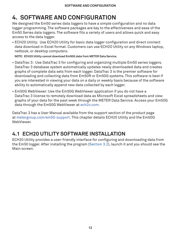## <span id="page-17-1"></span><span id="page-17-0"></span>**4. SOFTWARE AND CONFIGURATION**

We designed the Em50 series data loggers to have a simple configuration and no data logger programming. The software packages are key to the effectiveness and ease of the Em50 Series data loggers. The software fits a variety of users and allows quick and easy access to the data logger.

• ECH20 Utility: Use ECH20 Utility for basic data logger configuration and direct connect data download in Excel format. Customers can use ECH2O Utility on any Windows laptop, netbook, or desktop computers.

**NOTE: ECH20 Utility cannot download Em50G data from METER Data Service.**

- DataTrac 3: Use DataTrac 3 for configuring and organizing multiple Em50 series loggers. DataTrac 3 database system automatically updates newly downloaded data and creates graphs of complete data sets from each logger. DataTrac 3 is the premier software for downloading and collecting data from Em50R or Em50G systems. This software is best if you are interested in viewing your data on a daily or weekly basis because of the software ability to automatically append new data collected by each logger.
- Em50G WebViewer: Use the Em50G WebViewer application if you do not have a DataTrac 3 license to remotely download data as Microsoft Excel spreadsheets and view graphs of your data for the past week through the METER Data Service. Access your Em50G data through the Em50G WebViewer at [ech2o.com.](http://www.ech2o.com)

DataTrac 3 has a User Manual available from the support section of the product page at [metergroup.com/em50-support.](http://www.metergroup.com/em50-support) This chapter details ECH20 Utility and the Em50G WebViewer.

## **4.1 ECH20 UTILITY SOFTWARE INSTALLATION**

ECH20 Utility provides a user-friendly interface for configuring and downloading data from the Em50 logger. After installing the program ([Section 3.2](#page-14-2)), launch it and you should see the Main screen.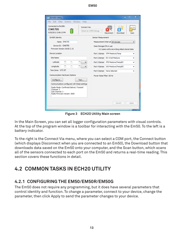<span id="page-18-0"></span>

| ECH2O Utility                                                                                                                                                                                                   |                           | $\overline{\mathbf{x}}$<br>▬<br>-              |  |
|-----------------------------------------------------------------------------------------------------------------------------------------------------------------------------------------------------------------|---------------------------|------------------------------------------------|--|
| File Edit Data Actions Window Help                                                                                                                                                                              |                           |                                                |  |
| Connected to Em50R:<br>Connect Via:<br>FM6755<br>Direct on COM3 Decage<br>9/30/2013 2:08:13 PM                                                                                                                  |                           | Download<br><b>Disconnect</b>                  |  |
| Em50R Identity                                                                                                                                                                                                  | <b>Sensor Measurement</b> |                                                |  |
| Name EM6755                                                                                                                                                                                                     |                           | Measurement Interval 60 minutes                |  |
| Device ID: EM6755                                                                                                                                                                                               | Data Storage: 0% in use   |                                                |  |
| Firmware Version: Em50 2.15                                                                                                                                                                                     |                           | 4.2 years until overwriting oldest stored data |  |
| <b>Device Location</b>                                                                                                                                                                                          | Port 1 Sensor             | <b>5TM Moisture/Temp</b>                       |  |
| <b>Site Name</b>                                                                                                                                                                                                |                           | Port 2 Sensor FC-5 Soil Moisture               |  |
| $\mathbf{u}$<br>۰<br>Latitude                                                                                                                                                                                   | Port 3 Sensor             | <b>STE Moisture/Temp/EC</b><br>٠               |  |
| $\mathbf{H}$<br>$\circ$<br>Longitude                                                                                                                                                                            | Port 4 Sensor             | GS3 Moisture/Temp/EC<br>-                      |  |
| Time Zone: UTC-07                                                                                                                                                                                               |                           | Port 5 Sensor None Selected                    |  |
| Communication Hardware Options<br>Configure<br>Test<br>Communications configured with these settings<br>Radio Mode: Confirmed Delivery Transmit<br>Channel: 3<br>Sub Channel: 3<br>Radio Firmware Version: 5000 | Power Noise Filter: 60 Hz |                                                |  |
|                                                                                                                                                                                                                 |                           | Revert<br>Apply                                |  |
|                                                                                                                                                                                                                 |                           |                                                |  |

**Figure 3 ECH2O Utility Main screen**

In the Main Screen, you can set all logger configuration parameters with visual controls. At the top of the program window is a toolbar for interacting with the Em50. To the left is a battery indicator.

To the right is the Connect Via menu, where you can select a COM port, the Connect button (which displays Disconnect when you are connected to an Em50), the Download button that downloads data saved on the Em50 onto your computer, and the Scan button, which scans all of the sensors connected to each port on the Em50 and returns a real-time reading. This section covers these functions in detail.

## <span id="page-18-1"></span>**4.2 COMMON TASKS IN ECH20 UTILITY**

#### **4.2.1 CONFIGURING THE EM50/EM50R/EM50G**

The Em50 does not require any programming, but it does have several parameters that control identity and function. To change a parameter, connect to your device, change the parameter, then click Apply to send the parameter changes to your device.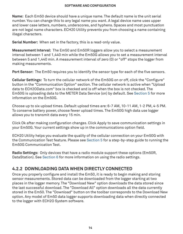<span id="page-19-0"></span>**Name:** Each Em50 device should have a unique name. The default name is the unit serial number. You can change this to any legal name you want. A legal device name uses upper and lower case letters, numbers, underscores, and hyphens. Spaces and most punctuation are not legal name characters. ECH20 Utility prevents you from choosing a name containing illegal characters.

**Serial Number:** When set in the factory, this is a read-only value.

**Measurement Interval:** The Em50 and Em50R loggers allow you to select a measurement interval between 1 and 1,440 min while the Em50G allows you to set a measurement interval between 5 and 1,440 min. A measurement interval of zero (0) or "off" stops the logger from making measurements.

**Port Sensor:** The Em50 requires you to identify the sensor type for each of the five sensors.

**Cellular Settings:** To turn the cellular network of the Em50G on or off, click the "Configure" button in the "Communication Option" section. The cellular network is active when "Upload data to ECH2OData.com" box is checked and is off when the box is not checked. The Em50G is uploading data to the METER Data Service (on) by default. See [Section 5](#page-30-1) for more information on the Em50G.

Choose up to six upload times. Default upload times are: 6-7 AM, 10-11 AM, 1-2 PM, 4-5 PM. To conserve battery power, choose fewer upload times. The Em50G high data use logger allows you to transmit data every 15 min.

Click Ok after making configuration changes. Click Apply to save communication settings in your Em50G. Your current settings show up in the communications option field.

ECH20 Utility helps you evaluate the quality of the cellular connection on your Em50G with the Communication Test feature. Please see [Section 5](#page-30-1) for a step-by-step guide to running the Em50G Communication Test.

**Radio Settings:** Only devices that have a radio module support these options (Em50R, DataStation). See [Section 6](#page-37-1) for more information on using the radio settings.

### **4.2.2 DOWNLOADING DATA WHEN DIRECTLY CONNECTED**

Once you properly configure and install the Em50, it is ready to begin making and storing sensor measurements. Stored data can be downloaded from the logger starting at two places in the logger memory. The "Download New" option downloads the data stored since the last successful download. The "Download All" option downloads all the data currently stored in the Em50. The "Download" button on the toolbar corresponds to the Download New option. Any model of Em50 data logger supports downloading data when directly connected to the logger with ECH2O System software.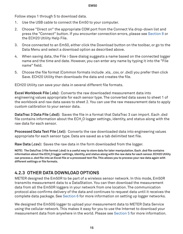<span id="page-20-0"></span>Follow steps 1 through 5 to download data.

- 1. Use the USB cable to connect the Em50 to your computer.
- 2. Choose "Direct on" the appropriate COM port from the Connect Via drop-down list and press the "Connect" button. If you encounter connection errors, please see [Section 8](#page-47-1) or the ECH20 Utility Help File.
- 3. Once connected to an Em50, either click the Download button on the toolbar, or go to the Data Menu and select a download option as described above.
- 4. When saving data, the File > Save dialog suggests a name based on the connected logger name and the time and date. However, you can enter any name by typing it into the "File name" field.
- 5. Choose the file format (Common formats include .xls, .csv, or .dxd) you prefer then click Save. ECH20 Utility then downloads the data and creates the file.

ECH20 Utility can save your data in several different file formats.

**Excel Workbook File (.xls):** Converts the raw downloaded measurement data into engineering values appropriate for each sensor type. The converted data saves to sheet 1 of the workbook and raw data saves to sheet 2. You can use the raw measurement data to apply custom calibration to your sensor data.

**DataTrac 3 Data File (.dxd):**  Saves the file in a format that DataTrac 3 can import. Each .dxd file contains information about the ECH<sub>2</sub>O logger settings, identity, and status along with the raw data for each sensor.

**Processed Data Text File (.txt):** Converts the raw downloaded data into engineering values appropriate for each sensor type. Data are saved as a tab delimited text file.

**Raw Data (.csv):** Saves the raw data in the form downloaded from the logger.

NOTE: The DataTrac 3 file format (.dxd) is a useful way to store data for later manipulation. Each .dxd file contains information about the ECH<sub>2</sub>O logger settings, identity, and status along with the raw data for each sensor. ECH20 Utility **can process a .dxd file into an Excel file or a processed text file. This allows you to process your raw data again with different settings or file formats.**

### **4.2.3 OTHER DATA DOWNLOAD OPTIONS**

METER designed the Em50R to be part of a wireless sensor network. In this mode, Em50R transmits measurement data to a DataStation. You can then download the measurement data from all the Em50R loggers in your network from one location. The communication protocol also confirms delivery of the data and continues to request data until it receives the complete data package. See [Section 6](#page-37-1) for more information on setting up logger networks.

We designed the Em50G logger to upload your measurement data to METER Data Service using the cellular network. This makes it easy for you to use the Internet to download your measurement data from anywhere in the world. Please see [Section 5](#page-30-1) for more information.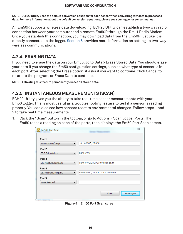<span id="page-21-0"></span>**NOTE: ECH20 Utility uses the default conversion equation for each sensor when converting raw data to processed data. For more information about the default conversion equations, please see your logger or sensor manual.**

An Em50R supports wireless data downloading. ECH20 Utility can establish a two-way radio connection between your computer and a remote Em50R through the Rm-1 Radio Modem. Once you establish this connection, you may download data from the Em50R just like it is directly connected to the logger. [Section 6](#page-37-1) provides more information on setting up two-way wireless communications.

### **4.2.4 ERASING DATA**

If you need to erase the data on your Em50, go to Data > Erase Stored Data. You should erase your data if you change the Em50 configuration settings, such as what type of sensor is in each port. After selecting the Erase option, it asks if you want to continue. Click Cancel to return to the program, or Erase Data to continue.

**NOTE: Activating this feature permanently erases all stored data.**

### **4.2.5 INSTANTANEOUS MEASUREMENTS (SCAN)**

ECH20 Utility gives you the ability to take real-time sensor measurements with your Em50 logger. This is most useful as a troubleshooting feature to test if a sensor is reading properly. You can also see how sensors react to environmental changes. Follow steps 1 and 2 to take real time measurements.

1. Click the "Scan" button in the toolbar, or go to Actions > Scan Logger Ports. The Em50 takes a reading on each of the ports, then displays the Em50 Port Scan screen.

| Em50R Port Scan                                     | $\Sigma$                            |
|-----------------------------------------------------|-------------------------------------|
| Port 1<br>5TM Moisture/Temp                         | 10.1% VWC; 23.0 °C                  |
| Port 2                                              |                                     |
| 3.8% VWC<br>EC-5 Soil Moisture<br>۰                 |                                     |
| Port 3                                              |                                     |
| $\blacktriangledown$<br><b>STE Moisture/Temp/EC</b> | 8.0% VWC; 23.2 °C; 0.00 bulk dS/m   |
| Port 4                                              |                                     |
| $\overline{\phantom{a}}$<br>GS3 Moisture/Temp/EC    | 45.9% VWC; 22.3 °C; 0.000 bulk dS/m |
| Port 5                                              |                                     |
| None Selected<br>۰                                  |                                     |
|                                                     |                                     |
|                                                     | Close<br>Scan Again                 |

**Figure 4 Em50 Port Scan screen**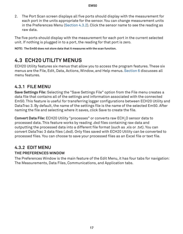<span id="page-22-0"></span>2. The Port Scan screen displays all five ports should display with the measurement for each port in the units appropriate for the sensor. You can change measurement units in the Preferences Menu ([Section 4.3.2](#page-22-1)). Click the sensor name to see the reading as raw data.

The five ports should display with the measurement for each port in the current selected unit. If nothing is plugged in to a port, the reading for that port is zero.

**NOTE: The Em50 does not store data that it measures with the scan function.**

## **4.3 ECH20 UTILITY MENUS**

ECH20 Utility features six menus that allow you to access the program features. These six menus are the File, Edit, Data, Actions, Window, and Help menus. [Section 6](#page-37-1) discusses all menu features.

### **4.3.1 FILE MENU**

**Save Settings File:** Selecting the "Save Settings File" option from the File menu creates a data file that contains all of the settings and information associated with the connected Em50. This feature is useful for transferring logger configurations between ECH20 Utility and DataTrac 3. By default, the name of the settings file is the name of the selected Em50. After naming the file and selecting where it saves, click Save to create the file.

**Convert Data File:** ECH20 Utility "processes" or converts raw ECH<sub>2</sub>O sensor data to processed data. This feature works by reading .dxd files containing raw data and outputting the processed data into a different file format (such as .xls or .txt). You can convert DataTrac 3 data files (.dxd). Only files saved with ECH20 Utility can be converted to processed files. You can choose to save your processed files as an Excel file or text file.

### <span id="page-22-1"></span>**4.3.2 EDIT MENU**

#### **THE PREFERENCES WINDOW**

The Preferences Window is the main feature of the Edit Menu, it has four tabs for navigation: The Measurements, Data Files, Communications, and Application tabs.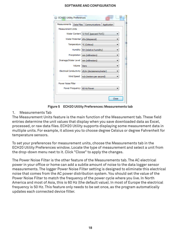#### **Software and Configuration**

| <b>Measurement Units</b>                                   |  |
|------------------------------------------------------------|--|
|                                                            |  |
| Water Content   % VWC (percent VWC)                        |  |
| Water Potential<br>kPa (kilopascal)                        |  |
| Temperature   °C (Celsius)                                 |  |
| Humidity<br>RH (relative humidity)                         |  |
| Precipitation<br>mm (millimeters)                          |  |
| Drainage/Water Level<br>mm (millimeters)                   |  |
| Volume<br>liters                                           |  |
| <b>Electrical Conductivity</b><br>dS/m (decisiemens/meter) |  |
| Wind Speed<br>m/s (meters per second)                      |  |
| <b>Power Noise Filter</b>                                  |  |
| Power Frequency<br>60 Hz Power                             |  |

**Figure 5 ECH2O Utility Preferences: Measurements tab**

#### 1. Measurements Tab

The Measurement Units feature is the main function of the Measurement tab. These field entries determine the unit values that display when you save downloaded data as Excel, processed, or raw data files. ECH20 Utility supports displaying some measurement data in multiple units. For example, it allows you to choose degree Celsius or degree Fahrenheit for temperature sensors.

To set your preferences for measurement units, choose the Measurements tab in the ECH20 Utility Preferences window. Locate the type of measurement and select a unit from the drop-down menu next to it. Click "Close" to apply the changes.

The Power Noise Filter is the other feature of the Measurements tab. The AC electrical power in your office or home can add a subtle amount of noise to the data logger sensor measurements. The logger Power Noise Filter setting is designed to eliminate this electrical noise that comes from the AC power distribution system. You should set the value of the Power Noise Filter to match the frequency of the power cycle where you live. In North America and most of Asia, this is 60 Hz (the default value). In most of Europe the electrical frequency is 50 Hz. This feature only needs to be set once, as the program automatically updates each connected device filter.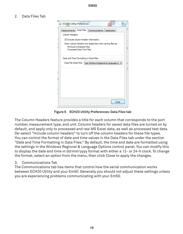<span id="page-24-0"></span>2. Data Files Tab



**Figure 6 ECH2O Utility Preferences: Data Files tab**

The Column Headers feature provides a title for each column that corresponds to the port number, measurement type, and unit. Column headers for saved data files are turned on by default, and apply only to processed and raw MS Excel data, as well as processed text data. De-select "Include column headers" to turn off the column headers for these file types. You can control the format of date and time values in the Data Files tab under the section "Date and Time Formatting in Data Files." By default, the time and date are formatted using the settings in the Windows Regional & Language Options control panel. You can modify this to display the date and time in dd/mm/yyyy format with either a 12- or 24-h clock. To change the format, select an option from the menu, then click Close to apply the changes.

#### 3. Communications Tab

The Communications tab has items that control how the serial communication works between ECH20 Utility and your Em50. Generally you should not adjust these settings unless you are experiencing problems communicating with your Em50.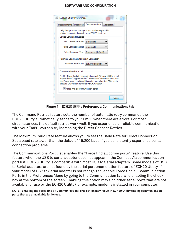#### **Software and Configuration**

| <b>ECH2O Utility Preferences</b>                                                                                                                                                                                                                        | 23 |
|---------------------------------------------------------------------------------------------------------------------------------------------------------------------------------------------------------------------------------------------------------|----|
| Communications<br>Data Files<br>Measurements<br><b>Application</b>                                                                                                                                                                                      |    |
| Only change these settings if you are having trouble<br>reliably communicating with your ECH2O devices.                                                                                                                                                 |    |
| Device Commands Retries                                                                                                                                                                                                                                 |    |
| <b>Direct Connect Retries</b><br>3 (default)                                                                                                                                                                                                            |    |
| Radio Connect Retries<br>5 (default)                                                                                                                                                                                                                    |    |
| Extra Response Time<br>0 seconds (default)                                                                                                                                                                                                              |    |
| Maximum Baud Rate for Direct Connection                                                                                                                                                                                                                 |    |
| Maximum Baud Rate<br>115200 (default)                                                                                                                                                                                                                   |    |
| Communication Ports List:                                                                                                                                                                                                                               |    |
| Enable "Force find all communication ports" if your USB to serial<br>adpter doesn't appear in the "Connect Via" communication port<br>list. Please note: enabling this option may also find COM ports<br>that are unavailable for use by ECH2O Utility. |    |
| V Force find all communication ports.                                                                                                                                                                                                                   |    |
| Close                                                                                                                                                                                                                                                   |    |

**Figure 7 ECH2O Utility Preferences: Communications tab**

The Command Retries feature sets the number of automatic retry commands the ECH20 Utility automatically sends to your Em50 when there are errors. For most circumstances, the default retries work well. If you experience unreliable communication with your Em50, you can try increasing the Direct Connect Retries.

The Maximum Baud Rate feature allows you to set the Baud Rate for Direct Connection. Set a baud rate lower than the default 115,200 baud if you consistently experience serial connection problems.

The Communications Port List enables the "Force find all comm ports" feature. Use this feature when the USB to serial adapter does not appear in the Connect Via communication port list. ECH20 Utility is compatible with most USB to Serial adapters. Some models of USB to Serial adapters are not found by the serial port enumeration feature of ECH20 Utility. If your model of USB to Serial adapter is not recognized, enable Force find all Communication Ports in the Preferences Menu by going to the Communication tab, and enabling the check box at the bottom of the screen. Enabling this option may find other serial ports that are not available for use by the ECH20 Utility (for example, modems installed in your computer).

**NOTE: Enabling the Force find all Communication Ports option may result in ECH20 Utility finding communication ports that are unavailable for its use.**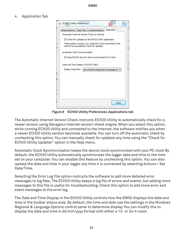4. Application Tab

| Measurements   Data Files              | Communications                                                                                            | Application |
|----------------------------------------|-----------------------------------------------------------------------------------------------------------|-------------|
|                                        | Automatic Internet Version Check on Startup                                                               |             |
|                                        | V Check for updates to the ECH2O Utility application.                                                     |             |
|                                        | These options require your computer to be connected to the<br>internet to successfully check for updates. |             |
| Automatic Clock Synchronization        |                                                                                                           |             |
|                                        | V Keep ECH2O device's clock synchronized to PC clock.                                                     |             |
| Date and Time Display in ECH2O Utility |                                                                                                           |             |
| Display Date/Time                      | Use Windows Regional & Language O                                                                         |             |
|                                        |                                                                                                           |             |
|                                        |                                                                                                           |             |
|                                        |                                                                                                           |             |
|                                        |                                                                                                           |             |
|                                        |                                                                                                           |             |
|                                        |                                                                                                           |             |

**Figure 8 ECH2O Utility Preferences: Applications tab**

The Automatic Internet Version Check instructs ECH20 Utility to automatically check for a newer version using Decagons Internet version-check engine. When you select this option, while running ECH20 Utility and connected to the Internet, the software notifies you when a newer ECH20 Utility version becomes available. You can turn off the automatic check by unchecking this option. You can manually check for updates any time using the "Check for ECH20 Utility Updates" option in the Help menu.

Automatic Clock Synchronization keeps the device clock synchronized with your PC clock By default, the ECH20 Utility automatically synchronizes the logger date and time to the time set on your computer. You can disable this feature by unchecking this option. You can also update the date and time in your logger any time it is connected by selecting Actions > Set Date/Time.

Selecting the Error Log File option instructs the software to add more detailed error messages to log files. The ECH20 Utility keeps a log file of errors and events, but adding more messages to this file is useful for troubleshooting. Check this option to add more error and event messages to the error log.

The Date and Time Display in the ECH20 Utility controls how the EM50 displays the date and time in the toolbar status area. By default, the time and date use the settings in the Windows Regional & Language Options control panel to determine display. You can modify this to display the date and time in dd/mm/yyyy format with either a 12- or 24-h clock.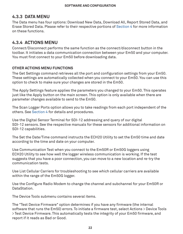#### <span id="page-27-0"></span>**4.3.3 DATA MENU**

The Data menu has four options: Download New Data, Download All, Report Stored Data, and Erase Stored Data. Please refer to their respective portions of [Section 4](#page-17-1) for more information on these functions.

### **4.3.4 ACTIONS MENU**

Connect/Disconnect performs the same function as the connect/disconnect button in the toolbar. It initiates a data communication connection between your Em50 and your computer. You must first connect to your Em50 before downloading data.

#### **OTHER ACTIONS MENU FUNCTIONS**

The Get Settings command retrieves all the port and configuration settings from your Em50. These settings are automatically collected when you connect to your Em50. You can use this option to check to make sure your changes are stored in the Em50.

The Apply Settings feature applies the parameters you changed to your Em50. This operates just like the Apply button on the main screen. This option is only available when there are parameter changes available to send to the Em50.

The Scan Logger Ports option allows you to take readings from each port independent of the others. See [Section 4](#page-17-1) for details and procedures.

Use the Digital Sensor Terminal for SDI-12 addressing and query of our digital SDI-12 sensors. See the respective manuals for these sensors for additional information on SDI-12 capabilities.

The Set the Date/Time command instructs the ECH20 Utility to set the Em50 time and date according to the time and date on your computer.

Use Communication Test when you connect to the Em50R or Em50G loggers using ECH20 Utility to see how well the logger wireless communication is working. If the test suggests that you have a poor connection, you can move to a new location and re-try the communication tests.

Use List Cellular Carriers for troubleshooting to see which cellular carriers are available within the range of the Em50G logger.

Use the Configure Radio Modem to change the channel and subchannel for your Em50R or DataStation.

The Device Tools submenu contains several items.

The "Test Device Firmware" option determines if you have any firmware (the internal software that runs the Em50) errors. To initiate a firmware test, select Actions > Device Tools > Test Device Firmware. This automatically tests the integrity of your Em50 firmware, and report if it reads as Bad or Good.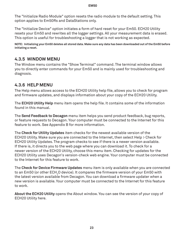<span id="page-28-0"></span>The "Initialize Radio Module" option resets the radio module to the default setting. This option applies to Em50Rs and DataStations only.

The "Initialize Device" option initiates a form of hard reset for your Em50. ECH20 Utility resets your Em50 and rewrites all the logger settings. All your measurement data is erased. This option is useful for troubleshooting a logger that is not working as expected.

**NOTE: Initializing your Em50 deletes all stored data. Make sure any data has been downloaded out of the Em50 before initiating a reset.**

### **4.3.5 WINDOW MENU**

The Window menu contains the "Show Terminal" command. The terminal window allows you to directly enter commands for your Em50 and is mainly used for troubleshooting and diagnosis.

### **4.3.6 HELP MENU**

The Help menu allows access to the ECH20 Utility help file, allows you to check for program and firmware updates, and displays information about your copy of the ECH20 Utility.

The **ECH20 Utility Help** menu item opens the help file. It contains some of the information found in this manual.

The **Send Feedback to Decagon** menu item helps you send product feedback, bug reports, or feature requests to Decagon. Your computer must be connected to the Internet for this feature to work. See Appendix B for more information.

The **Check for Utility Updates** item checks for the newest available version of the ECH20 Utility. Make sure you are connected to the Internet, then select Help > Check for ECH20 Utility Updates. The program checks to see if there is a newer version available. If there is, it directs you to the web page where you can download it. To check for a newer version of the ECH20 Utility, choose this menu item. Checking for updates for the ECH20 Utility uses Decagon's version-check web engine. Your computer must be connected to the Internet for this feature to work.

The **Check for Device Firmware Updates** menu item is only available when you are connected to an Em50 (or other ECH $_{\rm 2}$ O device). It compares the firmware version of your Em50 with the latest version available from Decagon. You can download a firmware updater when a new version is available. Your computer must be connected to the Internet for this feature to work.

**About the ECH20 Utility** opens the About window. You can see the version of your copy of ECH20 Utility here.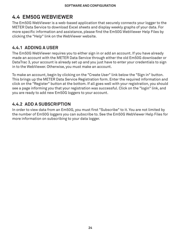### <span id="page-29-0"></span>**4.4 EM50G WEBVIEWER**

The Em50G WebViewer is a web-based application that securely connects your logger to the METER Data Service to download Excel sheets and display weekly graphs of your data. For more specific information and assistance, please find the Em50G WebViewer Help Files by clicking the "Help" link on the WebViewer website.

### **4.4.1 ADDING A USER**

The Em50G WebViewer requires you to either sign in or add an account. If you have already made an account with the METER Data Service through either the old Em50G downloader or DataTrac 3, your account is already set up and you just have to enter your credentials to sign in to the WebViewer. Otherwise, you must make an account.

To make an account, begin by clicking on the "Create User" link below the "Sign in" button. This brings up the METER Data Service Registration form. Enter the required information and click on the "Register" button at the bottom. If all goes well with your registration, you should see a page informing you that your registration was successful. Click on the "login" link, and you are ready to add new Em50G loggers to your account.

### **4.4.2 ADD A SUBSCRIPTION**

In order to view data from an Em50G, you must first "Subscribe" to it. You are not limited by the number of Em50G loggers you can subscribe to. See the Em50G WebViewer Help Files for more information on subscribing to your data logger.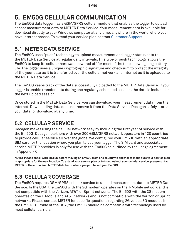## <span id="page-30-1"></span><span id="page-30-0"></span>**5. EM50G CELLULAR COMMUNICATION**

The Em50G data logger has a GSM/GPRS cellular module that enables the logger to upload sensor measurement data to METER Data Service. Your measurement data is available for download directly to your Windows computer at any time, anywhere in the world where you have Internet access. To extend your service plan contact [Customer Support.](#page-50-1)

## **5.1 METER DATA SERVICE**

The Em50G uses "push" technology to upload measurement and logger status data to the METER Data Service at regular daily intervals. This type of push technology allows the Em50G to keep its cellular hardware powered off for most of the time allowing long battery life. The logger uses a unique cryptographic signature and checksum to protect the integrity of the your data as it is transferred over the cellular network and Internet as it is uploaded to the METER Data Service.

The Em50G keeps track of the data successfully uploaded to the METER Data Service. If your logger is unable transfer data during one regularly scheduled session, the data is included in the next upload session.

Once stored in the METER Data Service, you can download your measurement data from the Internet. Downloading data does not remove it from the Data Service. Decagon safely stores your data for download at any time.

## **5.2 CELLULAR SERVICE**

Decagon makes using the cellular network easy by including the first year of service with the Em50G. Decagon partners with over 200 GSM/GPRS network operators in 120 countries to provide cellular service all over the globe. We configured your Em50G with an appropriate SIM card for the location where you plan to use your logger. The SIM card and associated service METER provides is only for use with the Em50G as outlined by the usage agreement in Appendix C.

**NOTE: Please check with METER before moving an Em50G from one country to another to make sure your service plan is appropriate for the new location. To extend your service plan or to troubleshoot your cellular service, please contact METER or the authorized METER distributor where you purchased your Em50G.**

## **5.3 CELLULAR COVERAGE**

The Em50G requires GSM/GPRS cellular service to upload measurement data to METER Data Service. In the USA, the Em50G with the 2G modem operates on the T-Mobile network and is not compatible with the Verizon, AT&T, or Sprint networks. The Em50G with the 3G modem operates on the T-Mobile and AT&T networks and is not compatible with the Verizon or Sprint networks. Please contact METER for specific questions regarding 2G versus 3G modules in the Em50G. Outside of the USA, the Em50G should be compatible with technology used by most cellular carriers.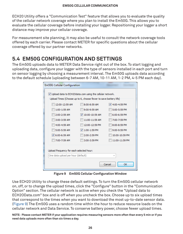<span id="page-31-0"></span>ECH20 Utility offers a "Communication Test" feature that allows you to evaluate the quality of the cellular network coverage where you plan to install the Em50G. This allows you to evaluate the cellular coverage before installing your logger. Repositioning your logger a short distance may improve your cellular coverage.

For measurement site planning, it may also be useful to consult the network coverage tools offered by each carrier. Please contact METER for specific questions about the cellular coverage offered by our partner networks.

### **5.4 EM50G CONFIGURATION AND SETTINGS**

The Em50G uploads data to METER Data Service right out of the box. To start logging and uploading data, configure your logger with the type of sensors installed in each port and turn on sensor logging by choosing a measurement interval. The Em50G uploads data according to the default schedule (uploading between 6-7 AM, 10-11 AM, 1-2 PM, 4-5 PM each day).

| <b>Em50G Cellular Configuration</b>      |                                                                  |                |  |  |  |
|------------------------------------------|------------------------------------------------------------------|----------------|--|--|--|
|                                          | V Upload data to ECH2Odata.com using the cellular network.       |                |  |  |  |
|                                          | Upload Times (Choose up to 6, choose fewer to save battery life) |                |  |  |  |
| 12:00-12:59 AM                           | $8:00 - 8:59$ AM                                                 | V 4:00-4:59 PM |  |  |  |
| $1:00 - 1:59$ AM                         | 9:00-9:59 AM                                                     | 5:00-5:59 PM   |  |  |  |
| $2:00 - 2:59$ AM                         | $10:00 - 10:59$ AM                                               | 6:00-6:59 PM   |  |  |  |
| 3:00-3:59 AM                             | 11:00-11:59 AM                                                   | 7:00-7:59 PM   |  |  |  |
| 4:00-4:59 AM                             | 12:00-12:59 PM                                                   | 8:00-8:59 PM   |  |  |  |
| 5:00-5:59 AM                             | $1:00-1:59$ PM                                                   | 9:00-9:59 PM   |  |  |  |
| $U$ 6:00-6:59 AM                         | $2:00 - 2:59$ PM                                                 | 10:00-10:59 PM |  |  |  |
| 7:00-7:59 AM                             | 3:00-3:59 PM                                                     | 11:00-11:59 PM |  |  |  |
| Upload frequency for each selected hour: |                                                                  |                |  |  |  |
| One data upload per hour (default)       |                                                                  |                |  |  |  |
|                                          |                                                                  | Cancel<br>OK   |  |  |  |

<span id="page-31-1"></span>**Figure 9 Em50G Cellular Configuration Window**

Use ECH20 Utility to change these default settings. To turn the Em50G cellular network on, off, or to change the upload times, click the "Configure" button in the "Communication Option" section. The cellular network is active when you check the "Upload data to ECH2OData.com" box and is off when you uncheck the box. Choose up to six upload times that correspond to the times when you want to download the most up-to-date sensor data. ([Figure 9](#page-31-1)) The Em50G uses a random time within the hour to reduce resource loads on the cellular network and Data Service. To conserve battery power, choose fewer upload times.

**NOTE: Please contact METER if your application requires measuring sensors more often than every 5 min or if you need data uploads more often than six times a day.**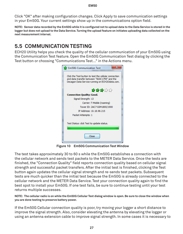<span id="page-32-0"></span>Click "OK" after making configuration changes. Click Apply to save communication settings in your Em50G. Your current settings show up in the communications option field.

**NOTE: Sensor data recorded by the Em50G while it is configured not to upload data to the Data Service is stored in the logger but does not upload to the Data Service. Turning the upload feature on initiates uploading data collected on the next measurement interval.**

## **5.5 COMMUNICATION TESTING**

ECH20 Utility helps you check the quality of the cellular communication of your Em50G using the Communication Test feature. Open the Em50G Communication Test dialog by clicking the Test button or choosing "Communications Test..." in the Actions menu.



**Figure 10 Em50G Communication Test Window**

The test takes approximately 30 to 60 s while the Em50G establishes a connection with the cellular network and sends test packets to the METER Data Service. Once the tests are finished, the "Connection Quality" field reports connection quality based on cellular signal strength and successful packet transfers. After the initial test is finished, clicking the Test button again updates the cellular signal strength and re-sends test packets. Subsequent tests are much quicker than the initial test because the Em50G is already connected to the cellular network and the METER Data Service. Test your connection quality again to find the best spot to install your Em50G. If one test fails, be sure to continue testing until your test returns multiple successes.

**NOTE: The cellular radio is on while the Em50G Cellular Test dialog window is open. Be sure to close the window when you are done testing to preserve battery power.**

If the Em50G Cellular connection quality is poor, try moving your logger a short distance to improve the signal strength. Also, consider elevating the antenna by elevating the logger or using an antenna extension cable to improve signal strength. In some cases it is necessary to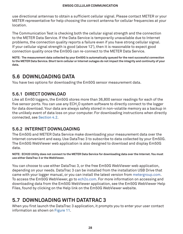#### **Em50G Cellular Communication**

<span id="page-33-0"></span>use directional antennas to obtain a sufficient cellular signal. Please contact METER or your METER representative for help choosing the correct antenna for cellular frequencies at your location.

The Communication Test is checking both the cellular signal strength and the connection to the METER Data Service. If the Data Service is temporarily unavailable due to Internet problems, the connection quality reports a failure even if you have strong cellular signal. If your cellular signal strength is good (above 12'), then it is reasonable to expect good connection quality once the Em50G can re-connect to the METER Data Service.

**NOTE: The measurement data collected by your Em50G is automatically queued for the next successful connection to the METER Data Service. Short term cellular or Internet outages do not impact the integrity and continuity of your data.**

### **5.6 DOWNLOADING DATA**

You have two options for downloading the Em50G sensor measurement data.

### **5.6.1 DIRECT DOWNLOAD**

Like all Em50 loggers, the Em50G stores more than 36,800 sensor readings for each of the five sensor ports. You can use any ECH $_{\rm 2}$ O system software to directly connect to the logger for data download. Your data are always safely stored in non-volatile memory as a backup in the unlikely event of data loss on your computer. For downloading instructions when directly connected, see [Section 4.2](#page-18-1).

### **5.6.2 INTERNET DOWNLOADING**

The Em50G and METER Data Service make downloading your measurement data over the Internet convenient and easy. Use DataTrac 3 to subscribe to data collected by your Em50G. The Em50G WebViewer web application is also designed to download and display Em50G data.

**NOTE: ECH20 Utility does not connect to the METER Data Service for downloading data over the Internet. You must use either DataTrac 3 or the WebViewer.**

You can choose to use either DataTrac 3, or the free Em50G WebViewer web application, depending on your needs. DataTrac 3 can be installed from the installation USB Drive that came with your logger manual, or you can install the latest version from [metergroup.com.](http://www.metergroup.com) To access the Em50G WebViewer, go to [ech2o.com](http://www.ech2o.com). For more information on accessing and downloading data from the Em50G WebViewer application, see the Em50G WebViewer Help Files, found by clicking on the Help link on the Em50G WebViewer website.

## **5.7 DOWNLOADING WITH DATATRAC 3**

When you first launch the DataTrac 3 application, it prompts you to enter your user contact information as shown on [Figure 11](#page-34-0).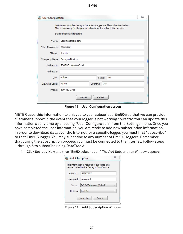<span id="page-34-1"></span>

| User Configuration             |                                                                                                                                                                                      | 23 |
|--------------------------------|--------------------------------------------------------------------------------------------------------------------------------------------------------------------------------------|----|
|                                | To interact with the Decagon Data Service, please fill out the form below.<br>This is necessary for the proper behavior of the subscription service.<br>Starred fields are required. |    |
| *Email:                        | user@example.com                                                                                                                                                                     |    |
| *User Password:                | password                                                                                                                                                                             |    |
| *Name:                         | Joe User                                                                                                                                                                             |    |
| *Company Name: Decagon Devices |                                                                                                                                                                                      |    |
| Address 1:                     | 2365 NE Hopkins Court                                                                                                                                                                |    |
| Address 2:                     |                                                                                                                                                                                      |    |
| City:                          | Pullman<br><b>WA</b><br>State:                                                                                                                                                       |    |
| Zip/Area Code:                 | <b>USA</b><br>99163<br>Country:                                                                                                                                                      |    |
| Phone:                         | 509-332-2756                                                                                                                                                                         |    |
|                                | Submit<br>Cancel                                                                                                                                                                     |    |

<span id="page-34-0"></span>**Figure 11 User Configuration screen**

METER uses this information to link you to your subscribed Em50G so that we can provide customer support in the event that your logger is not working correctly. You can update this information at any time by choosing "User Configuration" from the Settings menu. Once you have completed the user information, you are ready to add new subscription information. In order to download data over the Internet for a specific logger, you must first "subscribe" to that Em50G logger. You may subscribe to any number of Em50G loggers. Remember that during the subscription process you must be connected to the Internet. Follow steps 1 through 5 to subscribe using DataTrac 3.

1. Click Set-up > New and then "Em50 subscription." The Add Subscription Window appears.

| х<br>Add Subscription                                                                        |                         |  |
|----------------------------------------------------------------------------------------------|-------------------------|--|
| This information is required to subscribe to a<br>device hosted on the Decagon Data Service. |                         |  |
| Device ID:                                                                                   | 5GBETA07                |  |
| Password:                                                                                    | password                |  |
| Server:                                                                                      | ECH2OData.com (Default) |  |
| Retrieve                                                                                     | Last Dav                |  |
| Subscribe<br>Cancel                                                                          |                         |  |

**Figure 12 Add Subscription Window**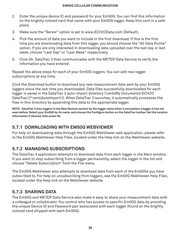#### **Em50G Cellular Communication**

- <span id="page-35-0"></span>2. Enter the unique device ID and password for your Em50G. You can find this information on the brightly colored card that came with your Em50G logger. Keep this card in a safe place.
- 3. Make sure the "Server" option is set to www.ECH2OData.com (Default).
- 4. Pick the amount of data you want to include in the first download. If this is the first time you are downloading data from this logger, you should choose the "All Data Points" option. If you are only interested in downloading data uploaded over the last day or last week, choose "Last Day" or "Last Week" respectively.
- 5. Click Ok. DataTrac 3 then communicates with the METER Data Service to verify the information you have entered.

Repeat the above steps for each of your Em50G loggers. You can add new logger subscriptions at any time.

Click the Download button to download any new measurement data sent by your Em50G loggers since the last time you downloaded. Data files successfully downloaded for each logger is saved in the DataTrac 3 auto-import directory (\verb|My Documents\ECH2O DataTrac\|\*\verb|AutoImport\|). When DataTrac 3 launches, it automatically processes the files in this directory by appending this data to the appropriate logger.

NOTE: DataTrac 3 lists loggers in the New Devices section by the logger name when it encounters a logger it has not **seen before. Select your Em50G by its name, and choose the Configure button on the DataTrac toolbar. Set the location information if desired, then press Ok.**

### **5.7.1 DOWNLOADING WITH EM50G WEBVIEWER**

For help on downloading data through the Em50G WebViewer web application, please refer to the Em50G WebViewer Help Files, located under the Help link on the WebViewer website.

### **5.7.2 MANAGING SUBSCRIPTIONS**

The DataTrac 3 application attempts to download data from each logger in the Main window. If you want to stop subscribing from a logger permanently, select the logger in the list and choose "Delete Subscription" from the File menu.

The Em50G WebViewer also attempts to download data from each of the Em50Gs you have subscribed to. For help on unsubscribing from loggers, see the Em50G WebViewer Help Files, located under the Help link on the WebViewer website.

### **5.7.3 SHARING DATA**

The Em50G and METER Data Service also make it easy to share your measurement data with a colleague or collaborator. You control who has access to specific Em50G data by providing the unique Device ID and Password pair associated with each logger (found on the brightly colored card shipped with each Em50G).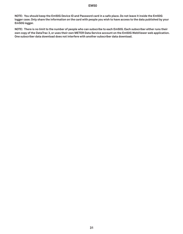**NOTE: You should keep the Em50G Device ID and Password card in a safe place. Do not leave it inside the Em50G logger case. Only share the information on the card with people you wish to have access to the data published by your Em50G logger.**

**NOTE: There is no limit to the number of people who can subscribe to each Em50G. Each subscriber either runs their**  own copy of the DataTrac 3, or uses their own METER Data Service account on the Em50G WebViewer web application. **One subscriber data download does not interfere with another subscriber data download.**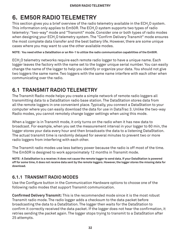## <span id="page-37-1"></span><span id="page-37-0"></span>**6. EM50R RADIO TELEMETRY**

This section gives you a brief overview of the radio telemetry available in the ECH $_{\rm 2}$ O system. This information only applies to Em50R. The ECH $_{\rm 2}$ O system supports two types of radio telemetry: "two-way" mode and "Transmit" mode. Consider one or both types of radio modes when designing your ECH $_{\tiny 2}$ O telemetry system. The "Confirm Delivery Transmit" mode ensures the most complete data transfer and the best battery life. However, there are some unique cases where you may want to use the other available modes.

**NOTE: You need either a DataStation or an Rm-1 to utilize the radio communication capabilities of the Em50R.**

 $\mathsf{ECH}_2\mathsf{O}$  telemetry networks require each remote radio logger to have a unique name. Each logger leaves the factory with the name set to the logger unique serial number. You can easily change the name of the logger to help you identify or organize your data. You should not give two loggers the same name. Two loggers with the same name interfere with each other when communicating over the radio.

## **6.1 TRANSMIT RADIO TELEMETRY**

The Transmit Radio mode helps you create a simple network of remote radio loggers all transmitting data to a DataStation radio base station. The DataStation stores data from all the remote loggers in one convenient place. Typically, you connect a DataStation to your computer where you can easily download the data for use in DataTrac 3. Unlike the two-way Radio modes, you cannot remotely change logger settings when using this mode.

When a logger is in Transmit mode, it only turns on the radio when it has new data to broadcast. For example, when you set the measurement interval in your logger to 60 min, the logger stores your data every hour and then broadcasts the data to a listening DataStation. The actual transmit time is randomly delayed for several minutes to prevent two or more radio loggers from interfering with each other.

The Transmit radio modes use less battery power because the radio is off most of the time. The Em50R is designed to work approximately 12 months in Transmit mode.

**NOTE: A DataStation is a receiver. It does not cause the remote logger to send data. If your DataStation is powered off for some time, it does not receive data sent by the remote loggers. However, the logger stores the missing data for download.**

### **6.1.1 TRANSMIT RADIO MODES**

Use the Configure button in the Communication Hardware options to choose one of the following radio modes that support Transmit communication.

**Confirmed Delivery Transmit:** This is the recommended mode since it is the most robust Transmit radio mode. The radio logger adds a checksum to the data packet before broadcasting the data to a DataStation. The logger then waits for the DataStation to confirm it correctly received the data packet. If the logger does not hear the confirmation, it retries sending the packet again. The logger stops trying to transmit to a DataStation after 25 attempts.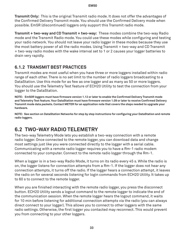<span id="page-38-0"></span>**Transmit Only:** This is the original Transmit radio mode. It does not offer the advantages of the Confirmed Delivery Transmit mode. You should use the Confirmed Delivery mode when possible. Em5R (discontinued) loggers only support this Transmit radio mode.

**Transmit + two-way and CD Transmit + two-way:** These modes combine the two-way Radio mode and the Transmit Radio mode. You could use these modes while configuring and testing your radio network. You should not leave your radio logger in these modes because they use the most battery power of all the radio modes. Using Transmit + two-way and CD Transmit + two-way radio modes with the wake interval set to 1 or 2 causes your logger batteries to drain very rapidly.

### **6.1.2 TRANSMIT BEST PRACTICES**

Transmit modes are most useful when you have three or more loggers installed within radio range of each other. There is no set limit to the number of radio loggers broadcasting to a DataStation. Use this mode for as few as one logger and as many as 50 or more loggers. You should use the Telemetry Test feature of ECH20 Utility to test the connection from your logger to the DataStation.

**NOTE: Em50R loggers must have firmware version 1.12 or later to enable the Confirmed Delivery Transmit mode and Telemetry Test feature. Your DataStation must have firmware version 1.09 or later to receive Confirmed Delivery Transmit mode data packets. Contact METER for an application note that covers the steps needed to upgrade your hardware.**

**NOTE: See section on DataStation Networks for step by step instructions for configuring your DataStation and remote radio loggers.**

## **6.2 TWO-WAY RADIO TELEMETRY**

The two-way Telemetry Mode lets you establish a two-way connection with a remote radio logger. Once connected to the remote logger, you can download data and change most settings just like you were connected directly to the logger with a serial cable. Communicating with a remote radio logger requires you to have a Rm-1 radio modem connected to your computer. Connect to the remote radio logger through the Rm-1.

When a logger is in a two-way Radio Mode, it turns on its radio every 45 s. While the radio is on, the logger listens for connection attempts from a Rm-1. If the logger does not hear any connection attempts, it turns off the radio. If the logger hears a connection attempt, it leaves the radio on for several seconds listening for login commands from ECH20 Utility. It takes up to 60 s to connect to the remote logger.

When you are finished interacting with the remote radio logger, you press the disconnect button. ECH20 Utility sends a logout command to the remote logger to indicate the end of the communication session. When the remote logger hears the logout command, it waits for 10 min before listening for additional connection attempts via the radio (you can always direct connect to your logger). This allows you to connect to other loggers with the same radio settings. Otherwise, the first logger you contacted may reconnect. This would prevent you from connecting to your other loggers.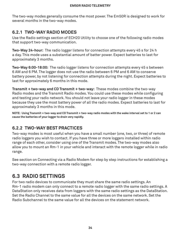<span id="page-39-0"></span>The two-way modes generally consume the most power. The Em50R is designed to work for several months in the two-way modes.

### **6.2.1 TWO-WAY RADIO MODES**

Use the Radio settings section of ECH20 Utility to choose one of the following radio modes that support two-way communication.

**Two-Way 24-hour:** The radio logger listens for connection attempts every 45 s for 24 h a day. This mode uses a substantial amount of batter power. Expect batteries to last for approximately 3 months.

**Two-Way 6:00-18:00:** The radio logger listens for connection attempts every 45 s between 6 AM and 6 PM. The logger does not use the radio between 6 PM and 6 AM to conserve battery power, by not listening for connection attempts during the night. Expect batteries to last for approximately 6 months in this mode.

**Transmit + two-way and CD Transmit + two-way:** These modes combine the two-way Radio modes and the Transmit Radio modes. You could use these modes while configuring and testing your radio network. You should not leave your radio logger in these modes because they use the most battery power of all the radio modes. Expect batteries to last for approximately 3 months in this mode.

**NOTE: Using Transmit + two-way and CD Transmit + two-way radio modes with the wake interval set to 1 or 2 can cause the batteries of your logger to drain very rapidly.**

### **6.2.2 TWO-WAY BEST PRACTICES**

Two-way modes is most useful when you have a small number (one, two, or three) of remote radio loggers you wish to contact. If you have three or more loggers installed within radio range of each other, consider using one of the Transmit modes. The two-way modes also allow you to mount an Rm-1 in your vehicle and interact with the remote logger while in radio range.

See section on Connecting via a Radio Modem for step by step instructions for establishing a two-way connection with a remote radio logger.

## **6.3 RADIO SETTINGS**

For two radio devices to communicate they must share the same radio settings. An Rm-1 radio modem can only connect to a remote radio logger with the same radio settings. A DataStation only receives data from loggers with the same radio settings as the DataStation. Set the Radio Channel to the same value for all the devices on the same network. Set the Radio Subchannel to the same value for all the devices on the statement network.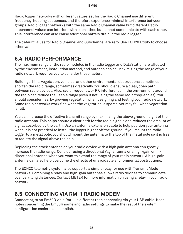<span id="page-40-0"></span>Radio logger networks with different values set for the Radio Channel use different frequency-hopping sequences, and therefore experience minimal interference between groups. Radio logger networks with the same Radio Channel value but different Radio subchannel values can interfere with each other, but cannot communicate with each other. This interference can also cause additional battery drain in the radio logger.

The default values for Radio Channel and Subchannel are zero. Use ECH20 Utility to choose other values.

## **6.4 RADIO PERFORMANCE**

The maximum range of the radio modules in the radio logger and DataStation are affected by the environment, installation method, and antenna choice. Maximizing the range of your radio network requires you to consider these factors.

Buildings, hills, vegetation, vehicles, and other environmental obstructions sometimes shorten the radio range, sometimes drastically. You should ensure a clear, open path between radio devices. Also, radio frequency, or RF, interference in the environment around the radio can reduce the usable range (even if not using the same radio frequencies). You should consider nearby growing vegetation when designing and testing your radio network. Some radio networks work fine when the vegetation is sparse, yet may fail when vegetation is full.

You can increase the effective transmit range by maximizing the above ground height of the radio antenna. This helps ensure a clear path for the radio signals and reduces the amount of signal absorbed by the earth. Use an antenna extension cable to help position your antenna when it is not practical to install the logger higher off the ground. If you mount the radio logger to a metal pole, you should mount the antenna to the top of the metal pole so it is free to radiate the signal above the pole.

Replacing the stock antenna on your radio device with a high gain antenna can greatly increase the radio range. Consider using a directional Yagi antenna or a high-gain omnidirectional antenna when you want to extend the range of your radio network. A high-gain antenna can also help overcome the effects of unavoidable environmental obstructions.

The ECH2O telemetry system also supports a simple relay for use with Transmit Mode networks. Combining a relay and high-gain antennas allows radio devices to communicate over very long distances. Contact METER for more information on using a relay in your radio network.

### **6.5 CONNECTING VIA RM-1 RADIO MODEM**

Connecting to an Em50R via a Rm-1 is different than connecting via your USB cable. Keep notes concerning the Em50R name and radio settings to make the rest of the system configuration easier to accomplish.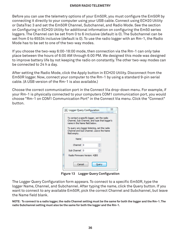#### **Em50R Radio Telemetry**

Before you can use the telemetry options of your Em50R, you must configure the Em50R by connecting it directly to your computer using your USB cable. Connect using ECH20 Utility or DataTrac 3 and set the Em50R Channel, Subchannel, and Radio Mode. See the section on Configuring in ECH20 Utility for additional information on configuring the Em50 series loggers. The Channel can be set from 0 to 6 inclusive (default is 0). The Subchannel can be set from 0 to 65534 inclusive (default is 0). To use the radio logger with an Rm-1, the Radio Mode has to be set to one of the two-way modes.

If you choose the two-way 6:00-18:00 mode, then connection via the Rm-1 can only take place between the hours of 6:00 AM through 6:00 PM. We designed this mode was designed to improve battery life by not keeping the radio on constantly. The other two-way modes can be connected to 24 h a day.

After setting the Radio Mode, click the Apply button in ECH20 Utility. Disconnect from the Em50R logger. Now, connect your computer to the Rm-1 by using a standard 9-pin serial cable. (A USB version of the Rm-1 is also available.)

Choose the correct communication port in the Connect Via drop-down menu. For example, if your Rm-1 is physically connected to your computers COM1 communication port, you would choose "Rm-1 on COM1 Communication Port" in the Connect Via menu. Click the "Connect" button.

|                                                                                                                              | ΣΖ<br>Logger Query Configuration                                                                        |  |  |
|------------------------------------------------------------------------------------------------------------------------------|---------------------------------------------------------------------------------------------------------|--|--|
| To contact a specific logger, set the radio<br>Channel, Sub Channel, and type that logger's<br>name in the Name field below. |                                                                                                         |  |  |
|                                                                                                                              | To query any logger listening, set the radio<br>Channel and Sub Channel. Leave the Name<br>field empty. |  |  |
|                                                                                                                              | Name                                                                                                    |  |  |
|                                                                                                                              | Channel 0                                                                                               |  |  |
|                                                                                                                              | Sub Channel 0                                                                                           |  |  |
|                                                                                                                              | Radio Firmware Version: 42B5                                                                            |  |  |
|                                                                                                                              | Cancel<br>Juerv                                                                                         |  |  |

**Figure 13 Logger Query Configuration**

The Logger Query Configuration form appears. To connect to a specific Em50R, type the logger Name, Channel, and Subchannel. After typing the name, click the Query button. If you want to connect to any available Em50R, pick the correct Channel and Subchannel, but leave the Name field blank.

**NOTE: To connect to a radio logger, the radio Channel setting must be the same for both the logger and the Rm-1. The radio Subchannel setting must also be the same for both the logger and the Rm-1.**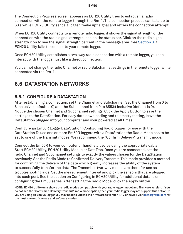<span id="page-42-0"></span>The Connection Progress screen appears as ECH20 Utility tries to establish a radio connection with the remote logger through the Rm-1. The connection process can take up to 60 s while ECH20 Utility sends a logger "wake up" signal and retries the connection attempt.

When ECH20 Utility connects to a remote radio logger, it shows the signal strength of the connection with the radio signal strength icon on the status bar. Click on the radio signal strength icon to see the signal strength percent in the message area. See [Section 8](#page-47-1) if ECH20 Utility fails to connect to your remote logger.

Once ECH20 Utility establishes a two-way radio connection with a remote logger, you can interact with the logger just like a direct connection.

You cannot change the radio Channel or radio Subchannel settings in the remote logger while connected via the Rm-1.

## **6.6 DATASTATION NETWORKS**

### **6.6.1 CONFIGURE A DATASTATION**

After establishing a connection, set the Channel and Subchannel. Set the Channel from 0 to 6 inclusive (default is 0) and the Subchannel from 0 to 65534 inclusive (default is 0). Notice the chosen Channel and Subchannel settings. Click the Apply button to save the settings to the DataStation. For easy data downloading and telemetry testing, leave the DataStation plugged into your computer and your powered at all times.

Configure an Em50R LoggerDataStation! Configuring Radio Logger for use with the DataStation To use one or more Em50R loggers with a DataStation the Radio Mode has to be set to one of the Transmit modes. We recommend the "Confirm Delivery" transmit mode.

Connect the Em50R to your computer or handheld device using the appropriate cable. Start ECH20 Utility, ECH20 Utility Mobile or DataTrac. Once you are connected, set the radio Channel and Subchannel settings to exactly the values chosen for the DataStation previously. Set the Radio Mode to Confirmed Delivery Transmit. This mode provides a method for confirming the delivery of the data which greatly increases the ability of the system to successfully transfer the data. The Transmit + two-way modes are there for use as troubleshooting aids. Set the measurement interval and pick the sensors that are plugged into each port. See the section on Configuring in ECH20 Utility for additional details on configuring the Em50 series. After setting the Radio Mode, click the Apply button.

**NOTE: ECH20 Utility only shows the radio modes compatible with your radio logger model and firmware version. If you do not see the "Confirmed Delivery Transmit" radio mode option, then your radio logger may not support this option. If you are using an Em50R logger you may need to update the firmware to version 1.12 or newer. Visit [metergroup.com](http://www.metergroup.com) for the most current firmware and software modes.**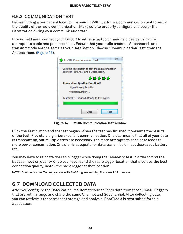### <span id="page-43-0"></span>**6.6.2 COMMUNICATION TEST**

Before finding a permanent location for your Em50R, perform a communication test to verify the quality of the radio communication. Make sure to properly configure and power the DataStation during your communication test.

In your field area, connect your Em50R to either a laptop or handheld device using the appropriate cable and press connect. Ensure that your radio channel, Subchannel, and transmit mode are the same as your DataStation. Choose "Communication Test" from the Actions menu ([Figure 15](#page-46-0)).



**Figure 14 Em50R Communication Test Window**

Click the Test button and the test begins. When the test has finished it presents the results of the test. Five stars signifies excellent communication. One star means that all of your data is transmitting, but multiple tries are necessary. The more attempts to send data leads to more power consumption. One star is adequate for data transmission, but decreases battery life.

You may have to relocate the radio logger while doing the Telemetry Test in order to find the best connection quality. Once you have found the radio logger location that provides the best connection quality, install the radio logger at that location.

**NOTE: Communication Test only works with Em50 loggers running firmware 1.12 or newer.**

## **6.7 DOWNLOAD COLLECTED DATA**

After you configure the DataStation, it automatically collects data from those Em50R loggers that are within range and share the same Channel and Subchannel. After collecting data, you can retrieve it for permanent storage and analysis. DataTrac 3 is best suited for this application.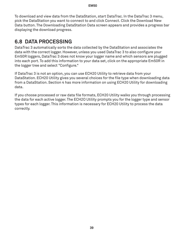<span id="page-44-0"></span>To download and view data from the DataStation, start DataTrac. In the DataTrac 3 menu, pick the DataStation you want to connect to and click Connect. Click the Download New Data button. The Downloading DataStation Data screen appears and provides a progress bar displaying the download progress.

### **6.8 DATA PROCESSING**

DataTrac 3 automatically sorts the data collected by the DataStation and associates the data with the correct logger. However, unless you used DataTrac 3 to also configure your Em50R loggers, DataTrac 3 does not know your logger name and which sensors are plugged into each port. To add this information to your data set, click on the appropriate Em50R in the logger tree and select "Configure."

If DataTrac 3 is not an option, you can use ECH20 Utility to retrieve data from your DataStation. ECH20 Utility gives you several choices for the file type when downloading data from a DataStation. Section 4 has more information on using ECH20 Utility for downloading data.

If you choose processed or raw data file formats, ECH20 Utility walks you through processing the data for each active logger. The ECH2O Utility prompts you for the logger type and sensor types for each logger. This information is necessary for ECH20 Utility to process the data correctly.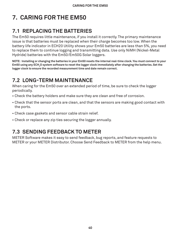## <span id="page-45-0"></span>**7. CARING FOR THE EM50**

## **7.1 REPLACING THE BATTERIES**

The Em50 requires little maintenance, if you install it correctly. The primary maintenance issue is that batteries must be replaced when their charge becomes too low. When the battery life indicator in ECH20 Utility shows your Em50 batteries are less than 5%, you need to replace them to continue logging and transmitting data. Use only NiMH (Nickel-Metal Hydride) batteries with the Em50/Em50G Solar loggers.

**NOTE: Installing or changing the batteries in your Em50 resets the internal real-time clock. You must connect to your**  Em50 using any ECH<sub>2</sub>O system software to reset the logger clock immediately after changing the batteries. Set the **logger clock to ensure the recorded measurement time and date remain correct.**

## **7.2 LONG-TERM MAINTENANCE**

When caring for the Em50 over an extended period of time, be sure to check the logger periodically.

- Check the battery holders and make sure they are clean and free of corrosion.
- Check that the sensor ports are clean, and that the sensors are making good contact with the ports.
- Check case gaskets and sensor cable strain relief.
- Check or replace any zip ties securing the logger annually.

## **7.3 SENDING FEEDBACK TO METER**

METER Software makes it easy to send feedback, bug reports, and feature requests to METER or your METER Distributor. Choose Send Feedback to METER from the help menu.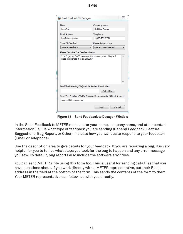| × | ۰.<br>×<br>v |
|---|--------------|

| Send Feedback To Decagon                                           | Σζ                                                             |
|--------------------------------------------------------------------|----------------------------------------------------------------|
| Name                                                               | <b>Company Name</b>                                            |
| Lee Cole                                                           | SinkHole Farms                                                 |
| <b>Email Address</b>                                               | Telephone                                                      |
| lee@sinkhole.com                                                   | 1-800-755-2751                                                 |
| <b>Type Of Feedback</b>                                            | Please Respond Via                                             |
| General Feedback                                                   | No Response Needed                                             |
| Please Describe The Feedback Below                                 |                                                                |
| need to upgrade it to an Em50G?                                    |                                                                |
| Send The Following File(Must Be Smaller Than 8 Mb):<br>Select File |                                                                |
|                                                                    | Send The Feedback To My Decagon Representative'S Email Address |
| support@decagon.com                                                |                                                                |
|                                                                    | Cancel<br>Send                                                 |

<span id="page-46-0"></span>**Figure 15 Send Feedback to Decagon Window**

In the Send Feedback to METER menu, enter your name, company name, and other contact information. Tell us what type of feedback you are sending (General Feedback, Feature Suggestions, Bug Report, or Other). Indicate how you want us to respond to your feedback (Email or Telephone).

Use the description area to give details for your feedback. If you are reporting a bug, it is very helpful for you to tell us what steps you took for the bug to happen and any error message you saw. By default, bug reports also include the software error files.

You can send METER a file using this form too. This is useful for sending data files that you have questions about. If you work directly with a METER representative, put their Email address in the field at the bottom of the form. This sends the contents of the form to them. Your METER representative can follow-up with you directly.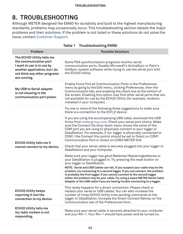## <span id="page-47-1"></span><span id="page-47-0"></span>**8. TROUBLESHOOTING**

Although METER designed the EM60 for durability and built to the highest manufacturing standards, problems may occasionally occur. This troubleshooting section details the major problems and their solutions. If the problem is not listed or these solutions do not solve the issue, contact Customer Support.

| Problem                                                                                                                                                             | <b>Possible Solutions</b>                                                                                                                                                                                                                                                                                                                                                                                                                                                                                                                                                |
|---------------------------------------------------------------------------------------------------------------------------------------------------------------------|--------------------------------------------------------------------------------------------------------------------------------------------------------------------------------------------------------------------------------------------------------------------------------------------------------------------------------------------------------------------------------------------------------------------------------------------------------------------------------------------------------------------------------------------------------------------------|
| The ECH20 Utility tells me<br>the communication port<br>I want to use is in use by<br>another application, but I do<br>not think any other programs<br>are running. | Some PDA synchronization programs monitor serial<br>communication ports. Disable Microsoft's ActiveSync or Palm's<br>HotSync system software while trying to use the serial port with<br>the ECH20 Utility.                                                                                                                                                                                                                                                                                                                                                              |
| My USB to Serial adapter<br>is not showing in the<br>communication port picker.                                                                                     | Enable Force find all Communication Ports in the Preferences<br>menu by going to the Edit menu, clicking Preferences, then the<br>Communication tab, and enabling the check box at the bottom of<br>the screen. Enabling this option may find other serial ports that are<br>not available for use by the ECH20 Utility (for example, modems<br>installed in your computer).                                                                                                                                                                                             |
|                                                                                                                                                                     | Try one or more of the following three suggestions to make sure<br>there is a connection to the ECH <sub>2</sub> O device.                                                                                                                                                                                                                                                                                                                                                                                                                                               |
| <b>ECH20 Utility tells me it</b>                                                                                                                                    | If you are using the accompanying USB cable, download the USB<br>firmw from metergroup.com. Check your serial port choice. Make<br>sure the Connect Via drop-down menu shows the name of the<br>COM port you are using to physically connect to your logger or<br>DataStation. For example, if our logger is physically connected to<br>COM1, the Connect Via control should be set to Direct on COM1<br>Communication Port or Direct on COM3 METER VCA                                                                                                                  |
| cannot connect to my device.                                                                                                                                        | Check that your serial cable is securely plugged into your logger or<br>DataStation and your Computer.                                                                                                                                                                                                                                                                                                                                                                                                                                                                   |
|                                                                                                                                                                     | Make sure your logger has good Batteries! Replacingbatteries or<br>your DataStation is plugged in. Try pressing the reset button on<br>your logger or DataStation.<br>NOTE: Serial and USB Cables can fail. If you suspect your cable may be the<br>problem, try connecting to a second logger. If you can connect, the problem<br>is probably the first logger. If you cannot connect to the second logger<br>either, the problem may be your cable. Try using a spare METER Serial Cable<br>Adapter or the USB cable if you are having trouble connecting to a logger. |
| <b>ECH20 Utility keeps</b><br>reporting it lost the<br>connection to my device.                                                                                     | This rarely happens for a direct connection. Please check or<br>replace your serial or USB cables. You can also increase the<br>number of times ECH20 Utility tries sending commands to the<br>logger or DataStation. Increase the Direct Connect Retries on the<br>Communication tab of the Preferences form.                                                                                                                                                                                                                                                           |
| <b>ECH20 Utility tells me</b><br>my radio modem is not<br>responding.                                                                                               | Make sure your serial cable is securely attached to your computer<br>and your Rm-1. Your Rm-1 should have power and be turned on.                                                                                                                                                                                                                                                                                                                                                                                                                                        |

| Table 1 | <b>Troubleshooting EM60</b> |  |
|---------|-----------------------------|--|
|         |                             |  |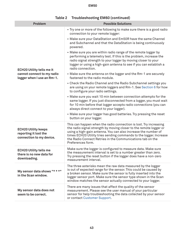| Problem                                                                         | <b>Possible Solutions</b>                                                                                                                                                                                                                                                                                                                                          |  |
|---------------------------------------------------------------------------------|--------------------------------------------------------------------------------------------------------------------------------------------------------------------------------------------------------------------------------------------------------------------------------------------------------------------------------------------------------------------|--|
|                                                                                 | • Try one or more of the following to make sure there is a good radio<br>connection to your remote logger:                                                                                                                                                                                                                                                         |  |
|                                                                                 | • Make sure your DataStation and Em50R have the same Channel<br>and Subchannel and that the DataStation is being continuously<br>powered.                                                                                                                                                                                                                          |  |
| ECH20 Utility tells me it                                                       | • Make sure you are within radio range of the remote logger by<br>performing a telemetry test. If this is the problem, increase the<br>radio signal strength to your logger by moving closer to your<br>logger or using a high-gain antenna to see if you can establish a<br>radio connection.                                                                     |  |
| cannot connect to my radio<br>logger when I use an Rm-1.                        | • Make sure the antenna on the logger and the Rm-1 are securely<br>fastened to the radio module.                                                                                                                                                                                                                                                                   |  |
|                                                                                 | • Check the Radio Channel and the Radio Subchannel settings you<br>are using on your remote loggers and Rm-1. See Section 6 for how<br>to configure your radio settings.                                                                                                                                                                                           |  |
|                                                                                 | • Make sure you wait 10 min between connection attempts for the<br>same logger. If you just disconnected from a logger, you must wait<br>for 10 min before that logger accepts radio connections (you can<br>always direct connect to your logger).<br>• Make sure your logger has good batteries. Try pressing the reset<br>button on your logger.                |  |
| <b>ECH20 Utility keeps</b><br>reporting it lost the<br>connection to my device. | This can happen when the radio connection is lost. Try increasing<br>the radio signal strength by moving closer to the remote logger or<br>using a high-gain antenna. You can also increase the number of<br>times ECH20 Utility tries sending commands to the logger. Increase<br>the Radio Connect Retries in the Communications tab on the<br>Preferences form. |  |
| <b>ECH20 Utility tells me</b><br>there is no new data for<br>downloading.       | Make sure the logger is configured to measure data. Make sure<br>the measurement interval is set to a number greater than zero.<br>Try pressing the reset button if the logger does have a non-zero<br>measurement interval.                                                                                                                                       |  |
| My sensor data shows "* * * "<br>in the Scan window.                            | The three asterisks mean the raw data measured by the logger<br>is out of expected range for the sensor. This could be caused by<br>a broken sensor. Make sure the sensor is fully inserted into the<br>logger sensor port. Make sure the sensor type shown in the Scan<br>window matches the sensor actually connected to your logger.                            |  |
| My sensor data does not<br>seem to be correct.                                  | There are many issues that affect the quality of the sensor<br>measurement. Please see the user manual of your particular<br>sensor for help troubleshooting the data collected by your sensor<br>or contact Customer Support.                                                                                                                                     |  |

### **Table 2 Troubleshooting EM60 (continued)**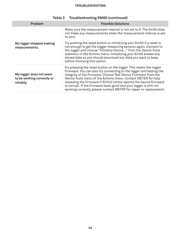#### **Troubleshooting**

<span id="page-49-0"></span>

| Problem                                                            | <b>Possible Solutions</b>                                                                                                                                                                                                                                                                                                                                                                                                                                                                          |
|--------------------------------------------------------------------|----------------------------------------------------------------------------------------------------------------------------------------------------------------------------------------------------------------------------------------------------------------------------------------------------------------------------------------------------------------------------------------------------------------------------------------------------------------------------------------------------|
|                                                                    | Make sure the measurement interval is not set to 0. The Em50 does<br>not make any measurements when the measurement interval is set<br>to zero.                                                                                                                                                                                                                                                                                                                                                    |
| My logger stopped making<br>measurements.                          | Try pushing the reset button or initializing your Em50 if a reset is<br>not enough to get the logger measuring sensors again. Connect to<br>the logger and choose "Initialize Device" from the Device Tools<br>submenu in the Actions menu. Initializing your Em50 erases any<br>stored data so you should download any data you want to keep<br>before choosing this option.                                                                                                                      |
| My logger does not seem<br>to be working correctly or<br>reliably. | Try pressing the reset button on the logger. This resets the logger<br>firmware. You can also try connecting to the logger and testing the<br>integrity of the firmware. Choose Test Device Firmware from the<br>Device Tools menu of the Actions menu. Contact METER for help<br>reloading the firmware if ECH20 Utility reports the device firmware<br>is corrupt. If the firmware tests good and your logger is still not<br>working correctly, please contact METER for repair or replacement. |

### **Table 2 Troubleshooting EM60 (continued)**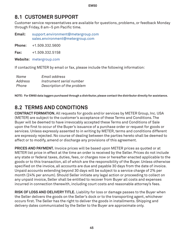### <span id="page-50-1"></span><span id="page-50-0"></span>**8.1 CUSTOMER SUPPORT**

Customer service representatives are available for questions, problems, or feedback Monday through Friday, 8 am–5 pm Pacific time.

**Email:** [support.environment@metergroup.com](mailto:support.environment%40metergroup.com?subject=) [sales.environment@metergroup.com](mailto:sales.environment%40metergroup.com?subject=)

**Phone:** +1.509.332.5600

**Fax:** +1.509.332.5158

**Website:** [metergroup.com](https://www.metergroup.com)

If contacting METER by email or fax, please include the following information:

| Name    | Email address              |
|---------|----------------------------|
| Address | Instrument serial number   |
| Phone   | Description of the problem |

**NOTE: For EM60 data loggers purchased through a distributor, please contact the distributor directly for assistance.**

## **8.2 TERMS AND CONDITIONS**

**CONTRACT FORMATION.** All requests for goods and/or services by METER Group, Inc. USA (METER) are subject to the customer's acceptance of these Terms and Conditions. The Buyer will be deemed to have irrevocably accepted these Terms and Conditions of Sale upon the first to occur of the Buyer's issuance of a purchase order or request for goods or services. Unless expressly assented to in writing by METER, terms and conditions different are expressly rejected. No course of dealing between the parties hereto shall be deemed to affect or to modify, amend or discharge any provisions of this agreement.

**PRICES AND PAYMENT.** Invoice prices will be based upon METER prices as quoted or at METER list price in effect at the time an order is received by the Seller. Prices do not include any state or federal taxes, duties, fees, or charges now or hereafter enacted applicable to the goods or to this transaction, all of which are the responsibility of the Buyer. Unless otherwise specified on the invoice, all accounts are due and payable 30 days from the date of invoice. Unpaid accounts extending beyond 30 days will be subject to a service charge of 2% per month (24% per annum). Should Seller initiate any legal action or proceeding to collect on any unpaid invoice, Seller shall be entitled to recover from Buyer all costs and expenses incurred in connection therewith, including court costs and reasonable attorney's fees.

**RISK OF LOSS AND DELIVERY TITLE.** Liability for loss or damage passes to the Buyer when the Seller delivers the goods on the Seller's dock or to the transporting agent, whichever occurs first. The Seller has the right to deliver the goods in installments. Shipping and delivery dates communicated by the Seller to the Buyer are approximate only.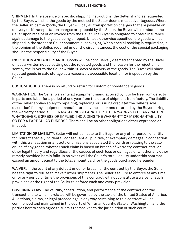#### **Troubleshooting**

**SHIPMENT.** In the absence of specific shipping instructions, the Seller, if and as requested by the Buyer, will ship the goods by the method the Seller deems most advantageous. Where the Seller ships the goods, the Buyer will pay all transportation charges that are payable on delivery or, if transportation charges are prepaid by the Seller, the Buyer will reimburse the Seller upon receipt of an invoice from the Seller. The Buyer is obligated to obtain insurance against damage to the goods being shipped. Unless otherwise specified, the goods will be shipped in the standard Seller commercial packaging. When special packing is required or, in the opinion of the Seller, required under the circumstances, the cost of the special packaging shall be the responsibility of the Buyer.

**INSPECTION AND ACCEPTANCE.** Goods will be conclusively deemed accepted by the Buyer unless a written notice setting out the rejected goods and the reason for the rejection is sent by the Buyer to the Seller within 10 days of delivery of the goods. The Buyer will place rejected goods in safe storage at a reasonably accessible location for inspection by the Seller.

**CUSTOM GOODS.** There is no refund or return for custom or nonstandard goods.

**WARRANTIES.** The Seller warrants all equipment manufactured by it to be free from defects in parts and labor for a period of one year from the date of shipment from factory. The liability of the Seller applies solely to repairing, replacing, or issuing credit (at the Seller's sole discretion) for any equipment manufactured by the seller and returned by the Buyer during the warranty period. SELLER MAKES NO SEPARATE OR OTHER WARRANTY OF ANY NATURE WHATSOEVER, EXPRESS OR IMPLIED, INCLUDING THE WARRANTY OF MERCHANTABILITY OR FOR A PARTICULAR PURPOSE. There shall be no other obligations either expressed or implied.

**LIMITATION OF LIABILITY.** Seller will not be liable to the Buyer or any other person or entity for indirect special, incidental, consequential, punitive, or exemplary damages in connection with this transaction or any acts or omissions associated therewith or relating to the sale or use of any goods, whether such claim is based on breach of warranty, contract, tort, or other legal theory and regardless of the causes of such loss or damages or whether any other remedy provided herein fails. In no event will the Seller's total liability under this contract exceed an amount equal to the total amount paid for the goods purchased hereunder.

**WAIVER.** In the event of any default under or breach of the contract by the Buyer, the Seller has the right to refuse to make further shipments. The Seller's failure to enforce at any time or for any period of time the provisions of this contract will not constitute a waiver of such provisions or the right of the Seller to enforce each and every provision.

**GOVERNING LAW.** The validity, construction, and performance of the contract and the transactions to which it relates will be governed by the laws of the United States of America. All actions, claims, or legal proceedings in any way pertaining to this contract will be commenced and maintained in the courts of Whitman County, State of Washington, and the parties hereto each agree to submit themselves to the jurisdiction of such court.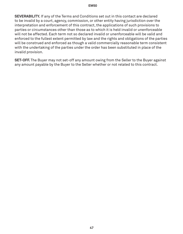<span id="page-52-0"></span>**SEVERABILITY.** If any of the Terms and Conditions set out in this contact are declared to be invalid by a court, agency, commission, or other entity having jurisdiction over the interpretation and enforcement of this contract, the applications of such provisions to parties or circumstances other than those as to which it is held invalid or unenforceable will not be affected. Each term not so declared invalid or unenforceable will be valid and enforced to the fullest extent permitted by law and the rights and obligations of the parties will be construed and enforced as though a valid commercially reasonable term consistent with the undertaking of the parties under the order has been substituted in place of the invalid provision.

**SET-OFF.** The Buyer may not set-off any amount owing from the Seller to the Buyer against any amount payable by the Buyer to the Seller whether or not related to this contract.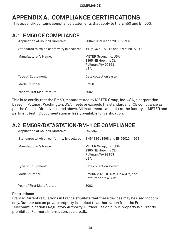**COMPLIANCE**

## <span id="page-53-0"></span>**APPENDIx A. COMPLIANCE CERTIFICATIONS**

This appendix contains compliance statements that apply to the Em50 and Em50G.

### **A.1 EM50 CE COMPLIANCE**

| Application of Council Directive:                                            | 2004/108/EC and 2011/65/EU                                                      |
|------------------------------------------------------------------------------|---------------------------------------------------------------------------------|
| Standards to which conformity is declared: EN 61326-1:2013 and EN 50581:2012 |                                                                                 |
| Manufacturer's Name:                                                         | METER Group, Inc. USA<br>2365 NE Hopkins Ct.<br>Pullman, WA 99163<br><b>USA</b> |
| Type of Equipment:                                                           | Data collection system                                                          |
| Model Number:                                                                | Em50                                                                            |
| Year of First Manufacture:                                                   | 2002                                                                            |

This is to certify that the Em50, manufactured by METER Group, Inc. USA, a corporation based in Pullman, Washington, USA meets or exceeds the standards for CE compliance as per the Council Directives noted above. All instruments are built at the factory at METER and pertinent testing documentation is freely available for verification.

### **A.2 EM50R/DATASTATION/RM-1 CE COMPLIANCE**

| Application of Council Directive:                                        | 89/336/EEC                                                                      |
|--------------------------------------------------------------------------|---------------------------------------------------------------------------------|
| Standards to which conformity is declared: EN61326:1998 and EN55022:1998 |                                                                                 |
| Manufacturer's Name:                                                     | METER Group, Inc. USA<br>2365 NE Hopkins Ct.<br>Pullman, WA 99163<br><b>USA</b> |
| Type of Equipment:                                                       | Data collection system                                                          |
| Model Number:                                                            | Em50R 2.4 GHz, Rm-1 2.4GHz, and<br>DataStation 2.4 GHz                          |
| Year of First Manufacture:                                               | 2002                                                                            |

#### **Restrictions:**

France: Current regulations in France stipulate that these devices may be used indoors only. Outdoor use on private property is subject to authorization from the French Telecommunications Regulatory Authority. Outdoor use on public property is currently prohibited. For more information, see ero.dk.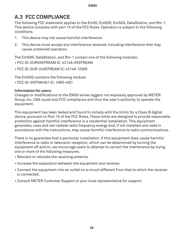## <span id="page-54-0"></span>**A.3 FCC COMPLIANCE**

The following FCC statement applies to the Em50, Em50R, Em50G, DataStation, and Rm-1. This device complies with part 15 of the FCC Rules. Operation is subject to the following conditions:

- 1. This device may not cause harmful interference.
- 2. This device must accept any interference received, including interference that may cause undesired operation.

The Em50R, DataStation, and Rm-1 contain one of the following modules:

- FCC ID: OUR9XSTREAM IC: 4214A-9XSTREAM
- FCC ID: OUR-24XSTREAM IC: 4214A 12008

The Em50G contains the following module:

• FCC ID: IHDT56HQ1 IC: 109O-HQ1

#### **Information for users:**

Changes or modifications to the EM50 series loggers not expressly approved by METER Group, Inc. USA could void FCC compliance and thus the user's authority to operate the equipment.

This equipment has been tested and found to comply with the limits for a Class B digital device, pursuant to Part 15 of the FCC Rules. These limits are designed to provide reasonable protection against harmful interference in a residential installation. This equipment generates, uses and can radiate radio frequency energy and, if not installed and used in accordance with the instructions, may cause harmful interference to radio communications.

There is no guarantee that a particular installation. If this equipment does cause harmful interference to radio or television reception, which can be determined by turning the equipment off and on, we encourage users to attempt to correct the interference by trying one or more of the following measures.

- Reorient or relocate the receiving antenna.
- Increase the separation between the equipment and receiver.
- Connect the equipment into an outlet on a circuit different from that to which the receiver is connected.
- Consult METER Customer Support or your local representative for support.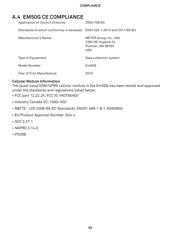### <span id="page-55-0"></span>**A.4 EM50G CE COMPLIANCE**

| <b>Application of Council Directive:</b>                                 | 2004/108/EC                                                                     |
|--------------------------------------------------------------------------|---------------------------------------------------------------------------------|
| Standards to which conformity is declared: EN61326-1:2013 and 2011/65/EU |                                                                                 |
| Manufacturer's Name:                                                     | METER Group, Inc. USA<br>2365 NE Hopkins Ct.<br>Pullman, WA 99163<br><b>USA</b> |
| Type of Equipment:                                                       | Data collection system                                                          |
| Model Number:                                                            | Em50G                                                                           |
| Year of First Manufacture:                                               | 2010                                                                            |

#### **Cellular Module Information**

The Quad-band GSM/GPRS cellular module in the Em50G has been tested and approved under the standards and regulations listed below:

- FCC part 12,22,24. FCC ID: IHDT56HQ1
- Industry Canada (IC) 109O-HQ1
- R&TTE LVD 2006/95/EC Standards: EN301 489-1 & 7, EN60950
- EU Product Approval Number: G24-L
- GCF 3.27.1
- NAPRD 3.14.0
- PTCRB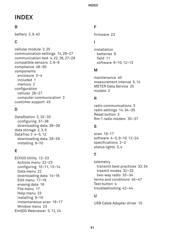## <span id="page-56-0"></span>**INDEX**

### **B**

battery [2](#page-7-0), [9](#page-14-0), [40](#page-45-0)

#### **C**

cellular module [2](#page-7-0), [25](#page-30-0) communication settings [14](#page-19-0), [26–](#page-31-0)[27](#page-32-0) communication test [4](#page-9-0), [22](#page-27-0), [26](#page-31-0), [27](#page-32-0)[–28](#page-33-0) compatible sensors [2](#page-7-0), [6](#page-11-0)[–8](#page-13-0) compliance [48](#page-53-0)[–50](#page-55-0) components enclosure [3](#page-8-0)–[4](#page-9-0) included [1](#page-6-0) memory [2](#page-7-0) configuration cellular [26–](#page-31-0)[27](#page-32-0) computer communication [3](#page-8-0) customer support [45](#page-50-0)

#### **D**

DataStation [2](#page-7-0), [32–](#page-37-0)[33](#page-38-0) configuring [37](#page-42-0)[–38](#page-43-0) downloading data [38](#page-43-0)[–39](#page-44-0) data storage [2](#page-7-0), [3](#page-8-0), [6](#page-11-0) DataTrac 3 [4](#page-9-0)[–5](#page-10-0), [12](#page-17-0) downloading data [28](#page-33-0)[–29](#page-34-1) installing [9](#page-14-0)[–10](#page-15-0)

#### **E**

ECH20 Utility [12](#page-17-0)[–23](#page-28-0) Actions menu [22](#page-27-0)[–23](#page-28-0) configuring [10](#page-15-0)[–11](#page-16-0), [13](#page-18-0)[–14](#page-19-0) Data menu [22](#page-27-0) downloading data [14](#page-19-0)[–16](#page-21-0) Edit menu [17](#page-22-0)[–19](#page-24-0) erasing data [16](#page-21-0) File menu [17](#page-22-0) Help menu [23](#page-28-0) installing [9](#page-14-0)[–10](#page-15-0) instantaneous scan [16](#page-21-0)[–17](#page-22-0) Window menu [23](#page-28-0) Em50G Webviewer [5](#page-10-0), [12](#page-17-0), [24](#page-29-0)

#### **F**

firmware [23](#page-28-0)

#### **I**

installation batteries [9](#page-14-0) field [11](#page-16-0) software [9](#page-14-0)[–10](#page-15-0), [12](#page-17-0)[–13](#page-18-0)

#### **M**

maintenance [40](#page-45-0) measurement interval [5](#page-10-0), [14](#page-19-0) METER Data Service [25](#page-30-0) models [2](#page-7-0)

#### **R**

radio communications [3](#page-8-0) radio settings [14](#page-19-0), [34](#page-39-0)[–35](#page-40-0) Reset button [3](#page-8-0) Rm-1 radio modem [35–](#page-40-0)[37](#page-42-0)

#### **S**

scan [16](#page-21-0)[–17](#page-22-0) software [4–](#page-9-0)[5](#page-10-0), [9](#page-14-0)[–10](#page-15-0), [12](#page-17-0)[–24](#page-29-0) specifications [2–](#page-7-0)[3](#page-8-0) status lights [3](#page-8-0), [4](#page-9-0)

#### **T**

telemetry transmit best practices [33](#page-38-0), [34](#page-39-0) trasmit modes [32](#page-37-0)[–33](#page-38-0) two-way radio [33](#page-38-0)–[34](#page-39-0) terms and conditions [45](#page-50-0)[–47](#page-52-0) Test button [4](#page-9-0) troubleshooting [42–](#page-47-0)[44](#page-49-0)

#### **U**

USB Cable Adapter driver [10](#page-15-0)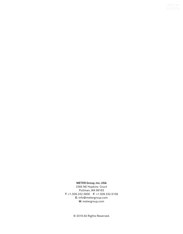#### **METER Group, Inc. USA**

2365 NE Hopkins Court Pullman, WA 99163 **T**: +1.509.332.5600 **F**: +1.509.332.5158 **E**: info@metergroup.com **W**: metergroup.com

© 2018 All Rights Reserved.